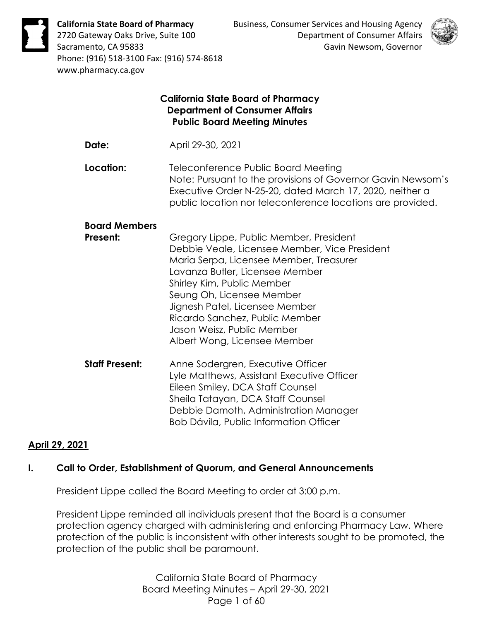

**California State Board of Pharmacy** 2720 Gateway Oaks Drive, Suite 100 Sacramento, CA 95833 Phone: (916) 518-3100 Fax: (916) 574-8618 www.pharmacy.ca.gov



# **California State Board of Pharmacy Department of Consumer Affairs Public Board Meeting Minutes Date:** April 29-30, 2021 **Location:** Teleconference Public Board Meeting Note: Pursuant to the provisions of Governor Gavin Newsom's Executive Order N-25-20, dated March 17, 2020, neither a public location nor teleconference locations are provided. **Board Members Present:** Gregory Lippe, Public Member, President Debbie Veale, Licensee Member, Vice President Maria Serpa, Licensee Member, Treasurer Lavanza Butler, Licensee Member Shirley Kim, Public Member Seung Oh, Licensee Member Jignesh Patel, Licensee Member Ricardo Sanchez, Public Member Jason Weisz, Public Member Albert Wong, Licensee Member **Staff Present:** Anne Sodergren, Executive Officer Lyle Matthews, Assistant Executive Officer Eileen Smiley, DCA Staff Counsel Sheila Tatayan, DCA Staff Counsel Debbie Damoth, Administration Manager Bob Dávila, Public Information Officer

# **April 29, 2021**

# **I. Call to Order, Establishment of Quorum, and General Announcements**

President Lippe called the Board Meeting to order at 3:00 p.m.

President Lippe reminded all individuals present that the Board is a consumer protection agency charged with administering and enforcing Pharmacy Law. Where protection of the public is inconsistent with other interests sought to be promoted, the protection of the public shall be paramount.

> California State Board of Pharmacy Board Meeting Minutes – April 29-30, 2021 Page 1 of 60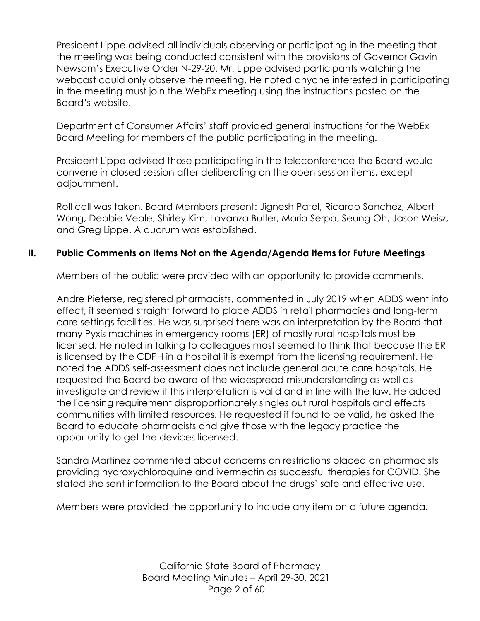President Lippe advised all individuals observing or participating in the meeting that the meeting was being conducted consistent with the provisions of Governor Gavin Newsom's Executive Order N-29-20. Mr. Lippe advised participants watching the webcast could only observe the meeting. He noted anyone interested in participating in the meeting must join the WebEx meeting using the instructions posted on the Board's website.

Department of Consumer Affairs' staff provided general instructions for the WebEx Board Meeting for members of the public participating in the meeting.

President Lippe advised those participating in the teleconference the Board would convene in closed session after deliberating on the open session items, except adjournment.

Roll call was taken. Board Members present: Jignesh Patel, Ricardo Sanchez, Albert Wong, Debbie Veale, Shirley Kim, Lavanza Butler, Maria Serpa, Seung Oh, Jason Weisz, and Greg Lippe. A quorum was established.

# **II. Public Comments on Items Not on the Agenda/Agenda Items for Future Meetings**

Members of the public were provided with an opportunity to provide comments.

Andre Pieterse, registered pharmacists, commented in July 2019 when ADDS went into effect, it seemed straight forward to place ADDS in retail pharmacies and long-term care settings facilities. He was surprised there was an interpretation by the Board that many Pyxis machines in emergency rooms (ER) of mostly rural hospitals must be licensed. He noted in talking to colleagues most seemed to think that because the ER is licensed by the CDPH in a hospital it is exempt from the licensing requirement. He noted the ADDS self-assessment does not include general acute care hospitals. He requested the Board be aware of the widespread misunderstanding as well as investigate and review if this interpretation is valid and in line with the law. He added the licensing requirement disproportionately singles out rural hospitals and effects communities with limited resources. He requested if found to be valid, he asked the Board to educate pharmacists and give those with the legacy practice the opportunity to get the devices licensed.

Sandra Martinez commented about concerns on restrictions placed on pharmacists providing hydroxychloroquine and ivermectin as successful therapies for COVID. She stated she sent information to the Board about the drugs' safe and effective use.

Members were provided the opportunity to include any item on a future agenda.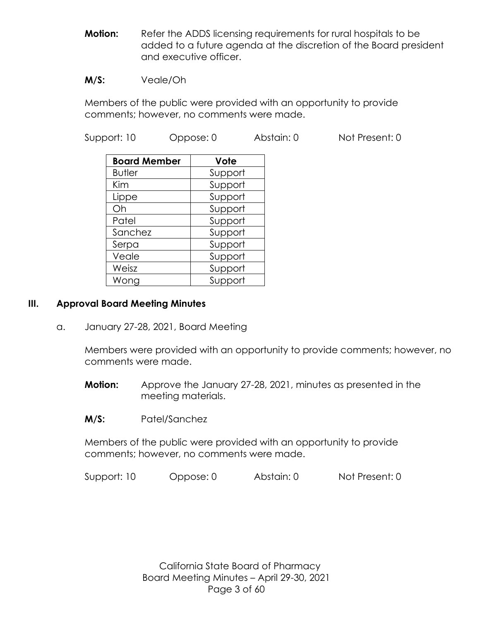**Motion:** Refer the ADDS licensing requirements for rural hospitals to be added to a future agenda at the discretion of the Board president and executive officer.

#### **M/S:** Veale/Oh

Members of the public were provided with an opportunity to provide comments; however, no comments were made.

Support: 10 Oppose: 0 Abstain: 0 Not Present: 0

| <b>Board Member</b> | Vote    |
|---------------------|---------|
| <b>Butler</b>       | Support |
| Kim                 | Support |
| Lippe               | Support |
| Oh                  | Support |
| Patel               | Support |
| Sanchez             | Support |
| Serpa               | Support |
| Veale               | Support |
| Weisz               | Support |
| Wong                | Support |

#### **III. Approval Board Meeting Minutes**

a. January 27-28, 2021, Board Meeting

Members were provided with an opportunity to provide comments; however, no comments were made.

- **Motion:** Approve the January 27-28, 2021, minutes as presented in the meeting materials.
- **M/S:** Patel/Sanchez

Members of the public were provided with an opportunity to provide comments; however, no comments were made.

Support: 10 Oppose: 0 Abstain: 0 Not Present: 0

California State Board of Pharmacy Board Meeting Minutes – April 29-30, 2021 Page 3 of 60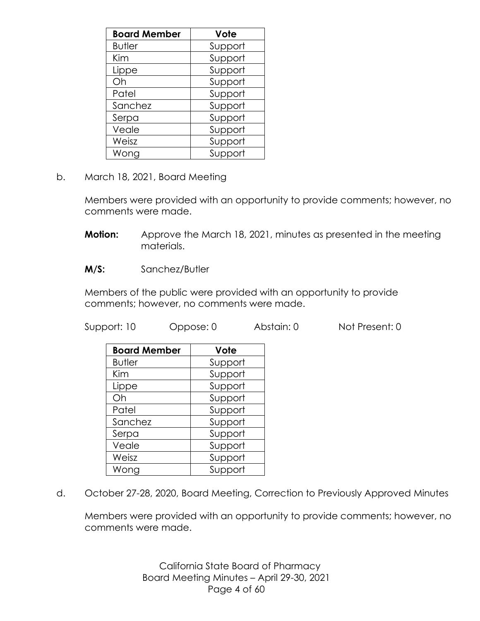| <b>Board Member</b> | Vote    |
|---------------------|---------|
| <b>Butler</b>       | Support |
| Kim                 | Support |
| Lippe               | Support |
| Oh                  | Support |
| Patel               | Support |
| Sanchez             | Support |
| Serpa               | Support |
| Veale               | Support |
| Weisz               | Support |
| Wong                | Support |

b. March 18, 2021, Board Meeting

Members were provided with an opportunity to provide comments; however, no comments were made.

- **Motion:** Approve the March 18, 2021, minutes as presented in the meeting materials.
- **M/S:** Sanchez/Butler

Members of the public were provided with an opportunity to provide comments; however, no comments were made.

Support: 10 Oppose: 0 Abstain: 0 Not Present: 0

| <b>Board Member</b> | Vote    |
|---------------------|---------|
| <b>Butler</b>       | Support |
| Kim                 | Support |
| Lippe               | Support |
| Oh                  | Support |
| Patel               | Support |
| Sanchez             | Support |
| Serpa               | Support |
| Veale               | Support |
| Weisz               | Support |
| Wong                | Support |

d. October 27-28, 2020, Board Meeting, Correction to Previously Approved Minutes

Members were provided with an opportunity to provide comments; however, no comments were made.

> California State Board of Pharmacy Board Meeting Minutes – April 29-30, 2021 Page 4 of 60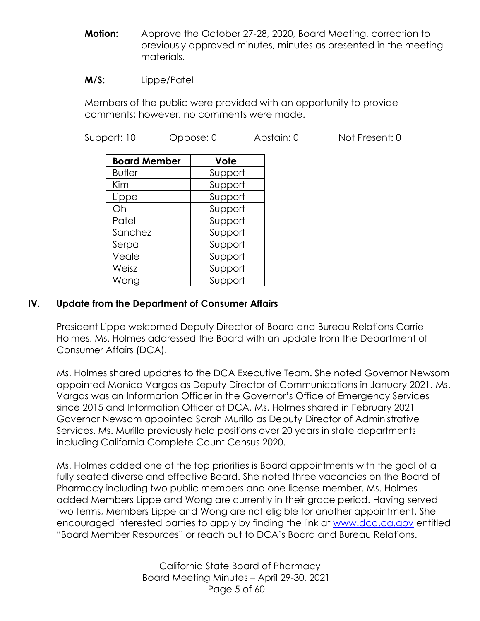**Motion:** Approve the October 27-28, 2020, Board Meeting, correction to previously approved minutes, minutes as presented in the meeting materials.

#### **M/S:** Lippe/Patel

Members of the public were provided with an opportunity to provide comments; however, no comments were made.

Support: 10 Oppose: 0 Abstain: 0 Not Present: 0

| <b>Board Member</b> | Vote    |
|---------------------|---------|
| <b>Butler</b>       | Support |
| Kim                 | Support |
| Lippe               | Support |
| Oh                  | Support |
| Patel               | Support |
| Sanchez             | Support |
| Serpa               | Support |
| Veale               | Support |
| Weisz               | Support |
| Wong                | Support |

## **IV. Update from the Department of Consumer Affairs**

President Lippe welcomed Deputy Director of Board and Bureau Relations Carrie Holmes. Ms. Holmes addressed the Board with an update from the Department of Consumer Affairs (DCA).

Ms. Holmes shared updates to the DCA Executive Team. She noted Governor Newsom appointed Monica Vargas as Deputy Director of Communications in January 2021. Ms. Vargas was an Information Officer in the Governor's Office of Emergency Services since 2015 and Information Officer at DCA. Ms. Holmes shared in February 2021 Governor Newsom appointed Sarah Murillo as Deputy Director of Administrative Services. Ms. Murillo previously held positions over 20 years in state departments including California Complete Count Census 2020.

Ms. Holmes added one of the top priorities is Board appointments with the goal of a fully seated diverse and effective Board. She noted three vacancies on the Board of Pharmacy including two public members and one license member. Ms. Holmes added Members Lippe and Wong are currently in their grace period. Having served two terms, Members Lippe and Wong are not eligible for another appointment. She encouraged interested parties to apply by finding the link at [www.dca.ca.gov](http://www.dca.ca.gov/) entitled "Board Member Resources" or reach out to DCA's Board and Bureau Relations.

> California State Board of Pharmacy Board Meeting Minutes – April 29-30, 2021 Page 5 of 60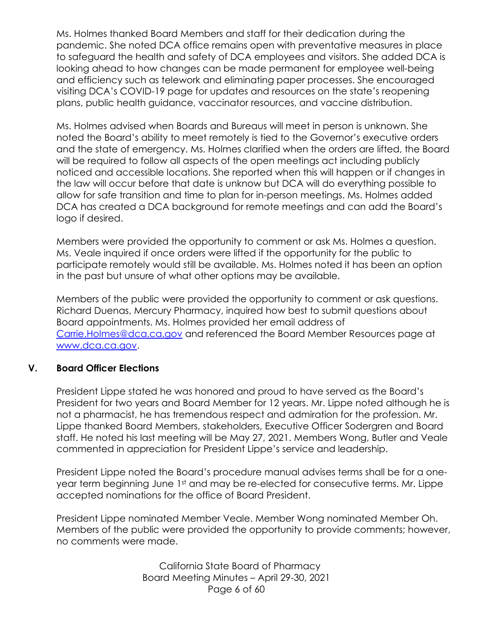Ms. Holmes thanked Board Members and staff for their dedication during the pandemic. She noted DCA office remains open with preventative measures in place to safeguard the health and safety of DCA employees and visitors. She added DCA is looking ahead to how changes can be made permanent for employee well-being and efficiency such as telework and eliminating paper processes. She encouraged visiting DCA's COVID-19 page for updates and resources on the state's reopening plans, public health guidance, vaccinator resources, and vaccine distribution.

Ms. Holmes advised when Boards and Bureaus will meet in person is unknown. She noted the Board's ability to meet remotely is tied to the Governor's executive orders and the state of emergency. Ms. Holmes clarified when the orders are lifted, the Board will be required to follow all aspects of the open meetings act including publicly noticed and accessible locations. She reported when this will happen or if changes in the law will occur before that date is unknow but DCA will do everything possible to allow for safe transition and time to plan for in-person meetings. Ms. Holmes added DCA has created a DCA background for remote meetings and can add the Board's logo if desired.

Members were provided the opportunity to comment or ask Ms. Holmes a question. Ms. Veale inquired if once orders were lifted if the opportunity for the public to participate remotely would still be available. Ms. Holmes noted it has been an option in the past but unsure of what other options may be available.

Members of the public were provided the opportunity to comment or ask questions. Richard Duenas, Mercury Pharmacy, inquired how best to submit questions about Board appointments. Ms. Holmes provided her email address of [Carrie.Holmes@dca.ca.gov](mailto:Carrie.Holmes@dca.ca.gov) and referenced the Board Member Resources page at [www.dca.ca.gov.](http://www.dca.ca.gov/)

## **V. Board Officer Elections**

President Lippe stated he was honored and proud to have served as the Board's President for two years and Board Member for 12 years. Mr. Lippe noted although he is not a pharmacist, he has tremendous respect and admiration for the profession. Mr. Lippe thanked Board Members, stakeholders, Executive Officer Sodergren and Board staff. He noted his last meeting will be May 27, 2021. Members Wong, Butler and Veale commented in appreciation for President Lippe's service and leadership.

President Lippe noted the Board's procedure manual advises terms shall be for a oneyear term beginning June 1st and may be re-elected for consecutive terms. Mr. Lippe accepted nominations for the office of Board President.

President Lippe nominated Member Veale. Member Wong nominated Member Oh. Members of the public were provided the opportunity to provide comments; however, no comments were made.

> California State Board of Pharmacy Board Meeting Minutes – April 29-30, 2021 Page 6 of 60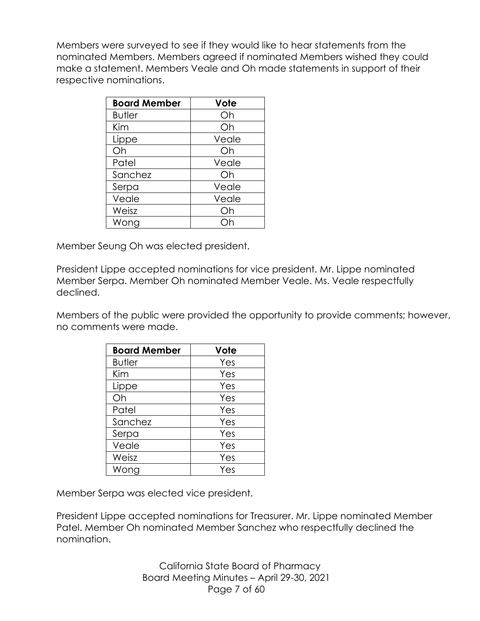Members were surveyed to see if they would like to hear statements from the nominated Members. Members agreed if nominated Members wished they could make a statement. Members Veale and Oh made statements in support of their respective nominations.

| <b>Board Member</b> | Vote  |
|---------------------|-------|
| <b>Butler</b>       | Oh    |
| Kim                 | Oh    |
| Lippe               | Veale |
| Oh                  | Oh    |
| Patel               | Veale |
| Sanchez             | Oh    |
| Serpa               | Veale |
| Veale               | Veale |
| Weisz               | Oh    |
| Wong                |       |

Member Seung Oh was elected president.

President Lippe accepted nominations for vice president. Mr. Lippe nominated Member Serpa. Member Oh nominated Member Veale. Ms. Veale respectfully declined.

Members of the public were provided the opportunity to provide comments; however, no comments were made.

| <b>Board Member</b> | Vote |
|---------------------|------|
| <b>Butler</b>       | Yes  |
| Kim                 | Yes  |
| Lippe               | Yes  |
| Oh                  | Yes  |
| Patel               | Yes  |
| Sanchez             | Yes  |
| Serpa               | Yes  |
| Veale               | Yes  |
| Weisz               | Yes  |
| Wong                | Yes  |

Member Serpa was elected vice president.

President Lippe accepted nominations for Treasurer. Mr. Lippe nominated Member Patel. Member Oh nominated Member Sanchez who respectfully declined the nomination.

> California State Board of Pharmacy Board Meeting Minutes – April 29-30, 2021 Page 7 of 60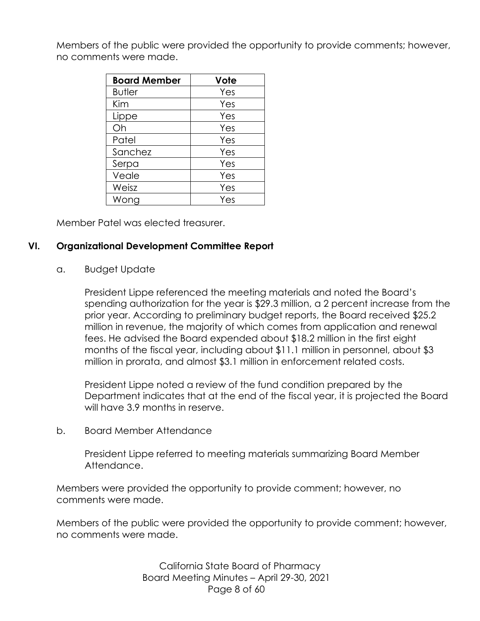Members of the public were provided the opportunity to provide comments; however, no comments were made.

| <b>Board Member</b> | Vote |
|---------------------|------|
| <b>Butler</b>       | Yes  |
| Kim                 | Yes  |
| Lippe               | Yes  |
| Oh                  | Yes  |
| Patel               | Yes  |
| Sanchez             | Yes  |
| Serpa               | Yes  |
| Veale               | Yes  |
| Weisz               | Yes  |
| Wong                | Yes  |

Member Patel was elected treasurer.

## **VI. Organizational Development Committee Report**

#### a. Budget Update

President Lippe referenced the meeting materials and noted the Board's spending authorization for the year is \$29.3 million, a 2 percent increase from the prior year. According to preliminary budget reports, the Board received \$25.2 million in revenue, the majority of which comes from application and renewal fees. He advised the Board expended about \$18.2 million in the first eight months of the fiscal year, including about \$11.1 million in personnel, about \$3 million in prorata, and almost \$3.1 million in enforcement related costs.

President Lippe noted a review of the fund condition prepared by the Department indicates that at the end of the fiscal year, it is projected the Board will have 3.9 months in reserve.

#### b. Board Member Attendance

President Lippe referred to meeting materials summarizing Board Member Attendance.

Members were provided the opportunity to provide comment; however, no comments were made.

Members of the public were provided the opportunity to provide comment; however, no comments were made.

> California State Board of Pharmacy Board Meeting Minutes – April 29-30, 2021 Page 8 of 60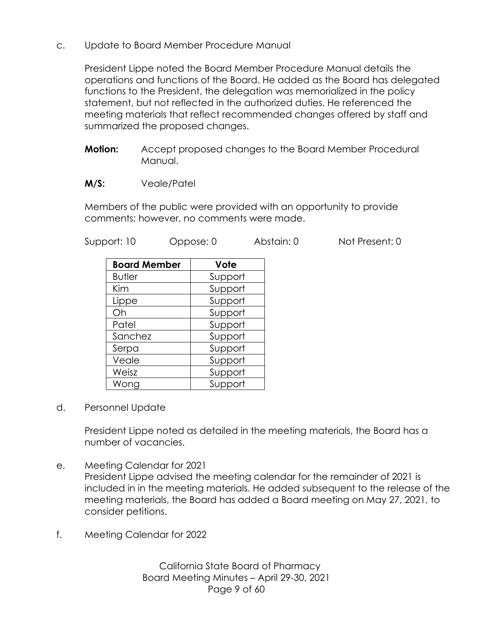c. Update to Board Member Procedure Manual

President Lippe noted the Board Member Procedure Manual details the operations and functions of the Board. He added as the Board has delegated functions to the President, the delegation was memorialized in the policy statement, but not reflected in the authorized duties. He referenced the meeting materials that reflect recommended changes offered by staff and summarized the proposed changes.

- **Motion:** Accept proposed changes to the Board Member Procedural Manual.
- **M/S:** Veale/Patel

Members of the public were provided with an opportunity to provide comments; however, no comments were made.

| Support: 10 |                     | Oppose: 0 | Abstain: 0 | Not Present: 0 |
|-------------|---------------------|-----------|------------|----------------|
|             | <b>Board Member</b> | Vote      |            |                |
|             | <b>Butler</b>       | Support   |            |                |
|             | Kim                 | Support   |            |                |
|             | Lippe               | Support   |            |                |
|             | Oh                  | Support   |            |                |
|             | Patel               | Support   |            |                |
|             | Sanchez             | Support   |            |                |
|             | Serpa               | Support   |            |                |
|             | Veale               | Support   |            |                |
|             | Weisz               | Support   |            |                |
|             | Wong                | Support   |            |                |

d. Personnel Update

President Lippe noted as detailed in the meeting materials, the Board has a number of vacancies.

e. Meeting Calendar for 2021

President Lippe advised the meeting calendar for the remainder of 2021 is included in in the meeting materials. He added subsequent to the release of the meeting materials, the Board has added a Board meeting on May 27, 2021, to consider petitions.

f. Meeting Calendar for 2022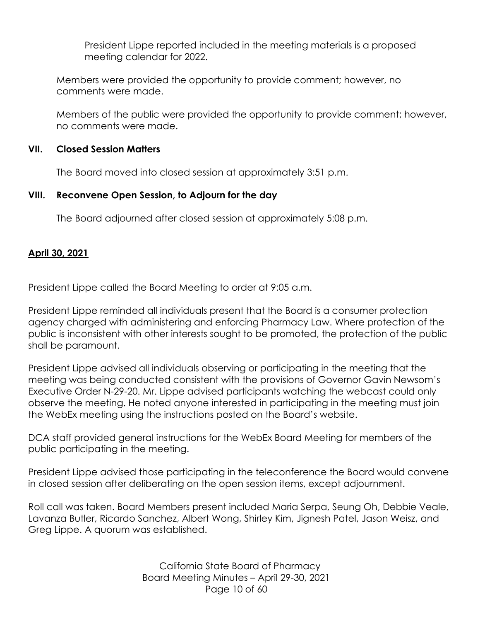President Lippe reported included in the meeting materials is a proposed meeting calendar for 2022.

Members were provided the opportunity to provide comment; however, no comments were made.

Members of the public were provided the opportunity to provide comment; however, no comments were made.

## **VII. Closed Session Matters**

The Board moved into closed session at approximately 3:51 p.m.

## **VIII. Reconvene Open Session, to Adjourn for the day**

The Board adjourned after closed session at approximately 5:08 p.m.

## **April 30, 2021**

President Lippe called the Board Meeting to order at 9:05 a.m.

President Lippe reminded all individuals present that the Board is a consumer protection agency charged with administering and enforcing Pharmacy Law. Where protection of the public is inconsistent with other interests sought to be promoted, the protection of the public shall be paramount.

President Lippe advised all individuals observing or participating in the meeting that the meeting was being conducted consistent with the provisions of Governor Gavin Newsom's Executive Order N-29-20. Mr. Lippe advised participants watching the webcast could only observe the meeting. He noted anyone interested in participating in the meeting must join the WebEx meeting using the instructions posted on the Board's website.

DCA staff provided general instructions for the WebEx Board Meeting for members of the public participating in the meeting.

President Lippe advised those participating in the teleconference the Board would convene in closed session after deliberating on the open session items, except adjournment.

Roll call was taken. Board Members present included Maria Serpa, Seung Oh, Debbie Veale, Lavanza Butler, Ricardo Sanchez, Albert Wong, Shirley Kim, Jignesh Patel, Jason Weisz, and Greg Lippe. A quorum was established.

> California State Board of Pharmacy Board Meeting Minutes – April 29-30, 2021 Page 10 of 60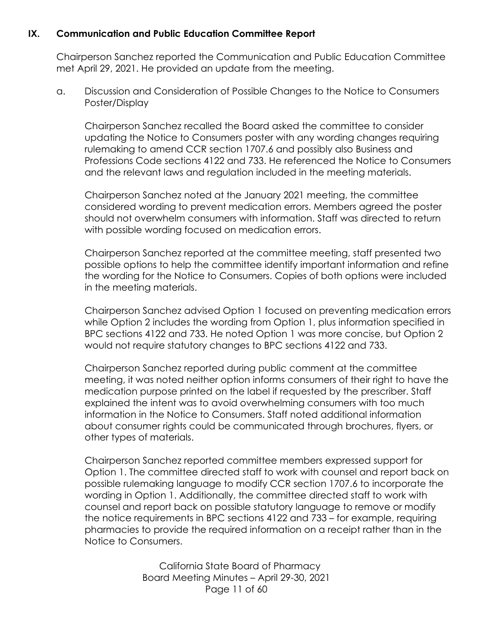## **IX. Communication and Public Education Committee Report**

Chairperson Sanchez reported the Communication and Public Education Committee met April 29, 2021. He provided an update from the meeting.

a. Discussion and Consideration of Possible Changes to the Notice to Consumers Poster/Display

Chairperson Sanchez recalled the Board asked the committee to consider updating the Notice to Consumers poster with any wording changes requiring rulemaking to amend CCR section 1707.6 and possibly also Business and Professions Code sections 4122 and 733. He referenced the Notice to Consumers and the relevant laws and regulation included in the meeting materials.

Chairperson Sanchez noted at the January 2021 meeting, the committee considered wording to prevent medication errors. Members agreed the poster should not overwhelm consumers with information. Staff was directed to return with possible wording focused on medication errors.

Chairperson Sanchez reported at the committee meeting, staff presented two possible options to help the committee identify important information and refine the wording for the Notice to Consumers. Copies of both options were included in the meeting materials.

Chairperson Sanchez advised Option 1 focused on preventing medication errors while Option 2 includes the wording from Option 1, plus information specified in BPC sections 4122 and 733. He noted Option 1 was more concise, but Option 2 would not require statutory changes to BPC sections 4122 and 733.

Chairperson Sanchez reported during public comment at the committee meeting, it was noted neither option informs consumers of their right to have the medication purpose printed on the label if requested by the prescriber. Staff explained the intent was to avoid overwhelming consumers with too much information in the Notice to Consumers. Staff noted additional information about consumer rights could be communicated through brochures, flyers, or other types of materials.

Chairperson Sanchez reported committee members expressed support for Option 1. The committee directed staff to work with counsel and report back on possible rulemaking language to modify CCR section 1707.6 to incorporate the wording in Option 1. Additionally, the committee directed staff to work with counsel and report back on possible statutory language to remove or modify the notice requirements in BPC sections 4122 and 733 – for example, requiring pharmacies to provide the required information on a receipt rather than in the Notice to Consumers.

> California State Board of Pharmacy Board Meeting Minutes – April 29-30, 2021 Page 11 of 60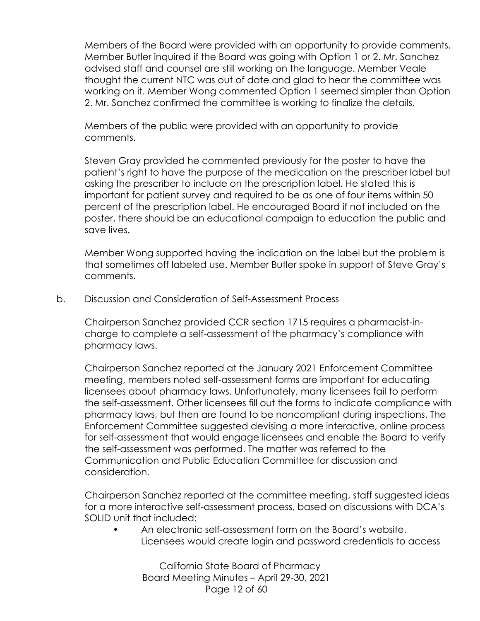Members of the Board were provided with an opportunity to provide comments. Member Butler inquired if the Board was going with Option 1 or 2. Mr. Sanchez advised staff and counsel are still working on the language. Member Veale thought the current NTC was out of date and glad to hear the committee was working on it. Member Wong commented Option 1 seemed simpler than Option 2. Mr. Sanchez confirmed the committee is working to finalize the details.

Members of the public were provided with an opportunity to provide comments.

Steven Gray provided he commented previously for the poster to have the patient's right to have the purpose of the medication on the prescriber label but asking the prescriber to include on the prescription label. He stated this is important for patient survey and required to be as one of four items within 50 percent of the prescription label. He encouraged Board if not included on the poster, there should be an educational campaign to education the public and save lives.

Member Wong supported having the indication on the label but the problem is that sometimes off labeled use. Member Butler spoke in support of Steve Gray's comments.

b. Discussion and Consideration of Self-Assessment Process

Chairperson Sanchez provided CCR section 1715 requires a pharmacist-incharge to complete a self-assessment of the pharmacy's compliance with pharmacy laws.

Chairperson Sanchez reported at the January 2021 Enforcement Committee meeting, members noted self-assessment forms are important for educating licensees about pharmacy laws. Unfortunately, many licensees fail to perform the self-assessment. Other licensees fill out the forms to indicate compliance with pharmacy laws, but then are found to be noncompliant during inspections. The Enforcement Committee suggested devising a more interactive, online process for self-assessment that would engage licensees and enable the Board to verify the self-assessment was performed. The matter was referred to the Communication and Public Education Committee for discussion and consideration.

Chairperson Sanchez reported at the committee meeting, staff suggested ideas for a more interactive self-assessment process, based on discussions with DCA's SOLID unit that included:

• An electronic self-assessment form on the Board's website. Licensees would create login and password credentials to access

California State Board of Pharmacy Board Meeting Minutes – April 29-30, 2021 Page 12 of 60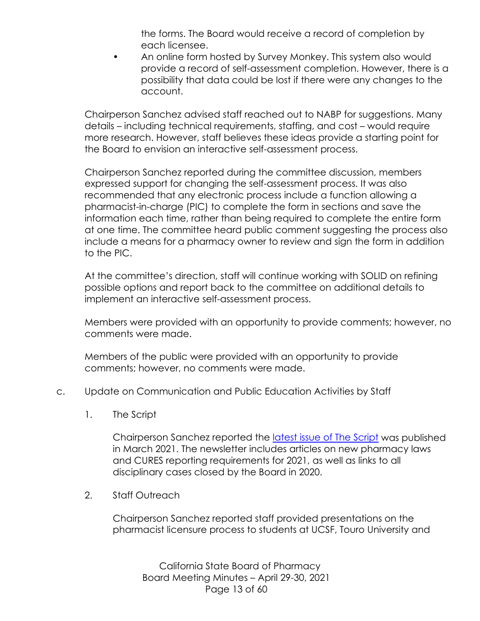the forms. The Board would receive a record of completion by each licensee.

• An online form hosted by Survey Monkey. This system also would provide a record of self-assessment completion. However, there is a possibility that data could be lost if there were any changes to the account.

Chairperson Sanchez advised staff reached out to NABP for suggestions. Many details – including technical requirements, staffing, and cost – would require more research. However, staff believes these ideas provide a starting point for the Board to envision an interactive self-assessment process.

Chairperson Sanchez reported during the committee discussion, members expressed support for changing the self-assessment process. It was also recommended that any electronic process include a function allowing a pharmacist-in-charge (PIC) to complete the form in sections and save the information each time, rather than being required to complete the entire form at one time. The committee heard public comment suggesting the process also include a means for a pharmacy owner to review and sign the form in addition to the PIC.

At the committee's direction, staff will continue working with SOLID on refining possible options and report back to the committee on additional details to implement an interactive self-assessment process.

Members were provided with an opportunity to provide comments; however, no comments were made.

Members of the public were provided with an opportunity to provide comments; however, no comments were made.

- c. Update on Communication and Public Education Activities by Staff
	- 1. The Script

Chairperson Sanchez reported the [latest issue of The Script](https://www.pharmacy.ca.gov/publications/21_mar_script.pdf) was published in March 2021. The newsletter includes articles on new pharmacy laws and CURES reporting requirements for 2021, as well as links to all disciplinary cases closed by the Board in 2020.

2. Staff Outreach

Chairperson Sanchez reported staff provided presentations on the pharmacist licensure process to students at UCSF, Touro University and

California State Board of Pharmacy Board Meeting Minutes – April 29-30, 2021 Page 13 of 60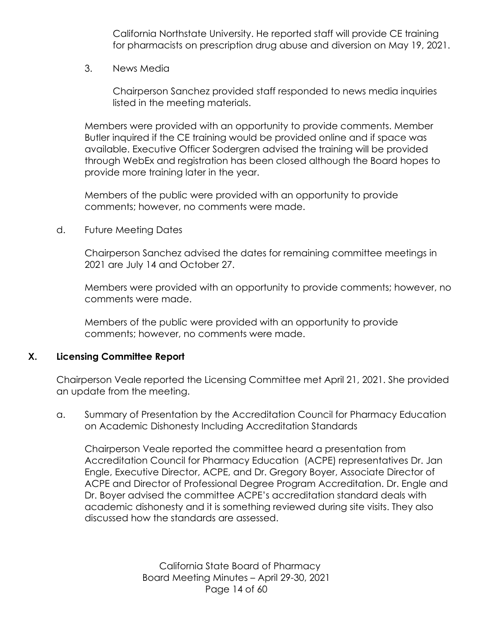California Northstate University. He reported staff will provide CE training for pharmacists on prescription drug abuse and diversion on May 19, 2021.

3. News Media

Chairperson Sanchez provided staff responded to news media inquiries listed in the meeting materials.

Members were provided with an opportunity to provide comments. Member Butler inquired if the CE training would be provided online and if space was available. Executive Officer Sodergren advised the training will be provided through WebEx and registration has been closed although the Board hopes to provide more training later in the year.

Members of the public were provided with an opportunity to provide comments; however, no comments were made.

d. Future Meeting Dates

Chairperson Sanchez advised the dates for remaining committee meetings in 2021 are July 14 and October 27.

Members were provided with an opportunity to provide comments; however, no comments were made.

Members of the public were provided with an opportunity to provide comments; however, no comments were made.

## **X. Licensing Committee Report**

Chairperson Veale reported the Licensing Committee met April 21, 2021. She provided an update from the meeting.

a. Summary of Presentation by the Accreditation Council for Pharmacy Education on Academic Dishonesty Including Accreditation Standards

Chairperson Veale reported the committee heard a presentation from Accreditation Council for Pharmacy Education (ACPE) representatives Dr. Jan Engle, Executive Director, ACPE, and Dr. Gregory Boyer, Associate Director of ACPE and Director of Professional Degree Program Accreditation. Dr. Engle and Dr. Boyer advised the committee ACPE's accreditation standard deals with academic dishonesty and it is something reviewed during site visits. They also discussed how the standards are assessed.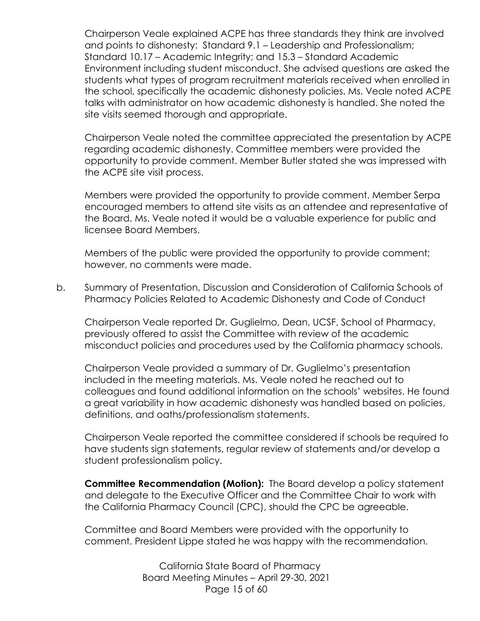Chairperson Veale explained ACPE has three standards they think are involved and points to dishonesty: Standard 9.1 – Leadership and Professionalism; Standard 10.17 – Academic Integrity; and 15.3 – Standard Academic Environment including student misconduct. She advised questions are asked the students what types of program recruitment materials received when enrolled in the school, specifically the academic dishonesty policies. Ms. Veale noted ACPE talks with administrator on how academic dishonesty is handled. She noted the site visits seemed thorough and appropriate.

Chairperson Veale noted the committee appreciated the presentation by ACPE regarding academic dishonesty. Committee members were provided the opportunity to provide comment. Member Butler stated she was impressed with the ACPE site visit process.

Members were provided the opportunity to provide comment. Member Serpa encouraged members to attend site visits as an attendee and representative of the Board. Ms. Veale noted it would be a valuable experience for public and licensee Board Members.

Members of the public were provided the opportunity to provide comment; however, no comments were made.

b. Summary of Presentation, Discussion and Consideration of California Schools of Pharmacy Policies Related to Academic Dishonesty and Code of Conduct

Chairperson Veale reported Dr. Guglielmo, Dean, UCSF, School of Pharmacy, previously offered to assist the Committee with review of the academic misconduct policies and procedures used by the California pharmacy schools.

Chairperson Veale provided a summary of Dr. Guglielmo's presentation included in the meeting materials. Ms. Veale noted he reached out to colleagues and found additional information on the schools' websites. He found a great variability in how academic dishonesty was handled based on policies, definitions, and oaths/professionalism statements.

Chairperson Veale reported the committee considered if schools be required to have students sign statements, regular review of statements and/or develop a student professionalism policy.

**Committee Recommendation (Motion):** The Board develop a policy statement and delegate to the Executive Officer and the Committee Chair to work with the California Pharmacy Council (CPC), should the CPC be agreeable.

Committee and Board Members were provided with the opportunity to comment. President Lippe stated he was happy with the recommendation.

> California State Board of Pharmacy Board Meeting Minutes – April 29-30, 2021 Page 15 of 60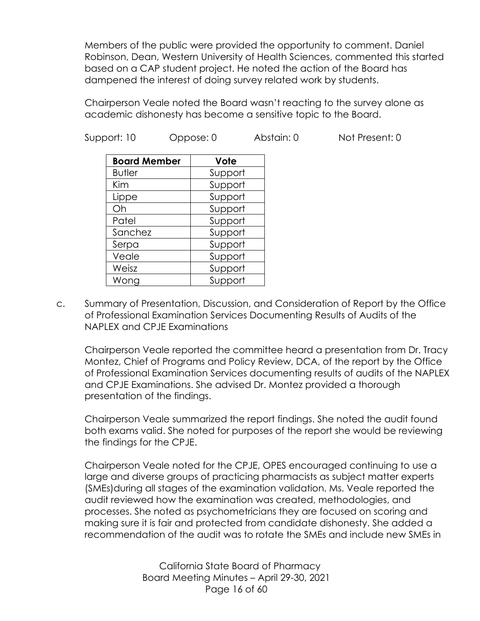Members of the public were provided the opportunity to comment. Daniel Robinson, Dean, Western University of Health Sciences, commented this started based on a CAP student project. He noted the action of the Board has dampened the interest of doing survey related work by students.

Chairperson Veale noted the Board wasn't reacting to the survey alone as academic dishonesty has become a sensitive topic to the Board.

Support: 10 Oppose: 0 Abstain: 0 Not Present: 0

| <b>Board Member</b> | Vote    |
|---------------------|---------|
| <b>Butler</b>       | Support |
| Kim                 | Support |
| Lippe               | Support |
| Oh                  | Support |
| Patel               | Support |
| Sanchez             | Support |
| Serpa               | Support |
| Veale               | Support |
| Weisz               | Support |
| Wong                | Support |

c. Summary of Presentation, Discussion, and Consideration of Report by the Office of Professional Examination Services Documenting Results of Audits of the NAPLEX and CPJE Examinations

Chairperson Veale reported the committee heard a presentation from Dr. Tracy Montez, Chief of Programs and Policy Review, DCA, of the report by the Office of Professional Examination Services documenting results of audits of the NAPLEX and CPJE Examinations. She advised Dr. Montez provided a thorough presentation of the findings.

Chairperson Veale summarized the report findings. She noted the audit found both exams valid. She noted for purposes of the report she would be reviewing the findings for the CPJE.

Chairperson Veale noted for the CPJE, OPES encouraged continuing to use a large and diverse groups of practicing pharmacists as subject matter experts (SMEs)during all stages of the examination validation. Ms. Veale reported the audit reviewed how the examination was created, methodologies, and processes. She noted as psychometricians they are focused on scoring and making sure it is fair and protected from candidate dishonesty. She added a recommendation of the audit was to rotate the SMEs and include new SMEs in

> California State Board of Pharmacy Board Meeting Minutes – April 29-30, 2021 Page 16 of 60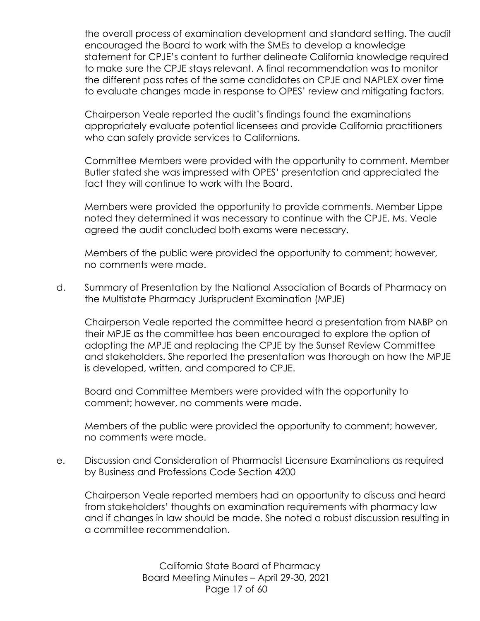the overall process of examination development and standard setting. The audit encouraged the Board to work with the SMEs to develop a knowledge statement for CPJE's content to further delineate California knowledge required to make sure the CPJE stays relevant. A final recommendation was to monitor the different pass rates of the same candidates on CPJE and NAPLEX over time to evaluate changes made in response to OPES' review and mitigating factors.

Chairperson Veale reported the audit's findings found the examinations appropriately evaluate potential licensees and provide California practitioners who can safely provide services to Californians.

Committee Members were provided with the opportunity to comment. Member Butler stated she was impressed with OPES' presentation and appreciated the fact they will continue to work with the Board.

Members were provided the opportunity to provide comments. Member Lippe noted they determined it was necessary to continue with the CPJE. Ms. Veale agreed the audit concluded both exams were necessary.

Members of the public were provided the opportunity to comment; however, no comments were made.

d. Summary of Presentation by the National Association of Boards of Pharmacy on the Multistate Pharmacy Jurisprudent Examination (MPJE)

Chairperson Veale reported the committee heard a presentation from NABP on their MPJE as the committee has been encouraged to explore the option of adopting the MPJE and replacing the CPJE by the Sunset Review Committee and stakeholders. She reported the presentation was thorough on how the MPJE is developed, written, and compared to CPJE.

Board and Committee Members were provided with the opportunity to comment; however, no comments were made.

Members of the public were provided the opportunity to comment; however, no comments were made.

e. Discussion and Consideration of Pharmacist Licensure Examinations as required by Business and Professions Code Section 4200

Chairperson Veale reported members had an opportunity to discuss and heard from stakeholders' thoughts on examination requirements with pharmacy law and if changes in law should be made. She noted a robust discussion resulting in a committee recommendation.

> California State Board of Pharmacy Board Meeting Minutes – April 29-30, 2021 Page 17 of 60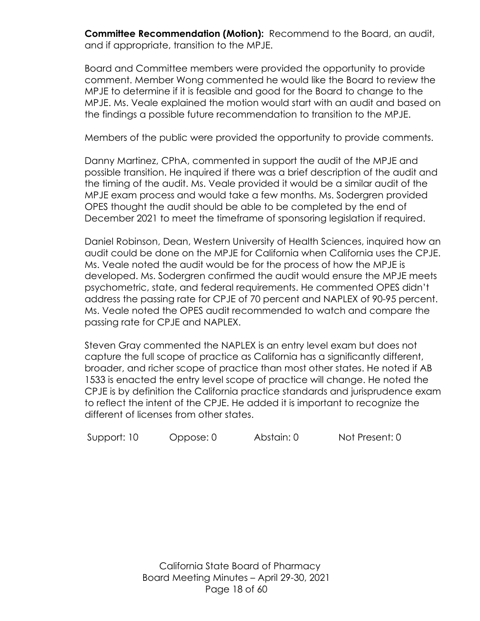**Committee Recommendation (Motion):** Recommend to the Board, an audit, and if appropriate, transition to the MPJE.

Board and Committee members were provided the opportunity to provide comment. Member Wong commented he would like the Board to review the MPJE to determine if it is feasible and good for the Board to change to the MPJE. Ms. Veale explained the motion would start with an audit and based on the findings a possible future recommendation to transition to the MPJE.

Members of the public were provided the opportunity to provide comments.

Danny Martinez, CPhA, commented in support the audit of the MPJE and possible transition. He inquired if there was a brief description of the audit and the timing of the audit. Ms. Veale provided it would be a similar audit of the MPJE exam process and would take a few months. Ms. Sodergren provided OPES thought the audit should be able to be completed by the end of December 2021 to meet the timeframe of sponsoring legislation if required.

Daniel Robinson, Dean, Western University of Health Sciences, inquired how an audit could be done on the MPJE for California when California uses the CPJE. Ms. Veale noted the audit would be for the process of how the MPJE is developed. Ms. Sodergren confirmed the audit would ensure the MPJE meets psychometric, state, and federal requirements. He commented OPES didn't address the passing rate for CPJE of 70 percent and NAPLEX of 90-95 percent. Ms. Veale noted the OPES audit recommended to watch and compare the passing rate for CPJE and NAPLEX.

Steven Gray commented the NAPLEX is an entry level exam but does not capture the full scope of practice as California has a significantly different, broader, and richer scope of practice than most other states. He noted if AB 1533 is enacted the entry level scope of practice will change. He noted the CPJE is by definition the California practice standards and jurisprudence exam to reflect the intent of the CPJE. He added it is important to recognize the different of licenses from other states.

Support: 10 Oppose: 0 Abstain: 0 Not Present: 0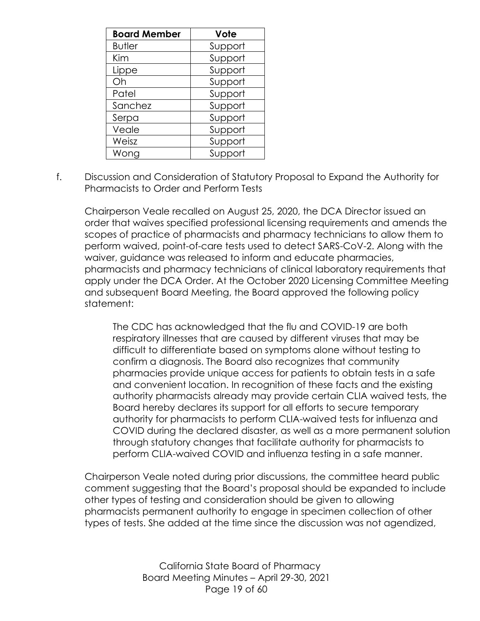| <b>Board Member</b> | Vote    |
|---------------------|---------|
| <b>Butler</b>       | Support |
| Kim                 | Support |
| Lippe               | Support |
| Oh                  | Support |
| Patel               | Support |
| Sanchez             | Support |
| Serpa               | Support |
| Veale               | Support |
| Weisz               | Support |
| Wong                | Support |

f. Discussion and Consideration of Statutory Proposal to Expand the Authority for Pharmacists to Order and Perform Tests

Chairperson Veale recalled on August 25, 2020, the DCA Director issued an order that waives specified professional licensing requirements and amends the scopes of practice of pharmacists and pharmacy technicians to allow them to perform waived, point-of-care tests used to detect SARS-CoV-2. Along with the waiver, guidance was released to inform and educate pharmacies, pharmacists and pharmacy technicians of clinical laboratory requirements that apply under the DCA Order. At the October 2020 Licensing Committee Meeting and subsequent Board Meeting, the Board approved the following policy statement:

The CDC has acknowledged that the flu and COVID-19 are both respiratory illnesses that are caused by different viruses that may be difficult to differentiate based on symptoms alone without testing to confirm a diagnosis. The Board also recognizes that community pharmacies provide unique access for patients to obtain tests in a safe and convenient location. In recognition of these facts and the existing authority pharmacists already may provide certain CLIA waived tests, the Board hereby declares its support for all efforts to secure temporary authority for pharmacists to perform CLIA-waived tests for influenza and COVID during the declared disaster, as well as a more permanent solution through statutory changes that facilitate authority for pharmacists to perform CLIA-waived COVID and influenza testing in a safe manner.

Chairperson Veale noted during prior discussions, the committee heard public comment suggesting that the Board's proposal should be expanded to include other types of testing and consideration should be given to allowing pharmacists permanent authority to engage in specimen collection of other types of tests. She added at the time since the discussion was not agendized,

> California State Board of Pharmacy Board Meeting Minutes – April 29-30, 2021 Page 19 of 60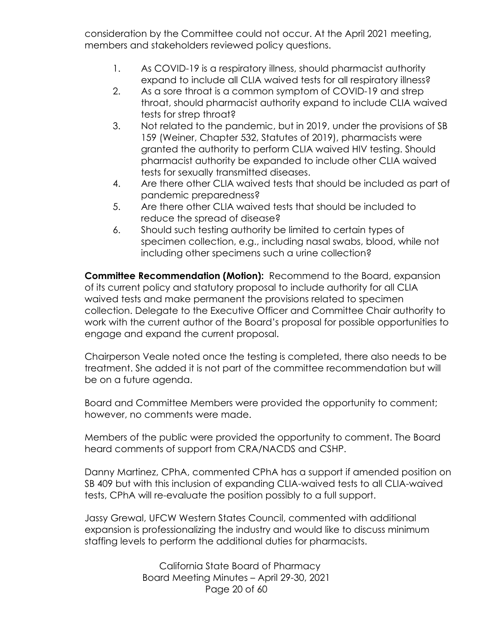consideration by the Committee could not occur. At the April 2021 meeting, members and stakeholders reviewed policy questions.

- 1. As COVID-19 is a respiratory illness, should pharmacist authority expand to include all CLIA waived tests for all respiratory illness?
- 2. As a sore throat is a common symptom of COVID-19 and strep throat, should pharmacist authority expand to include CLIA waived tests for strep throat?
- 3. Not related to the pandemic, but in 2019, under the provisions of SB 159 (Weiner, Chapter 532, Statutes of 2019), pharmacists were granted the authority to perform CLIA waived HIV testing. Should pharmacist authority be expanded to include other CLIA waived tests for sexually transmitted diseases.
- 4. Are there other CLIA waived tests that should be included as part of pandemic preparedness?
- 5. Are there other CLIA waived tests that should be included to reduce the spread of disease?
- 6. Should such testing authority be limited to certain types of specimen collection, e.g., including nasal swabs, blood, while not including other specimens such a urine collection?

**Committee Recommendation (Motion):** Recommend to the Board, expansion of its current policy and statutory proposal to include authority for all CLIA waived tests and make permanent the provisions related to specimen collection. Delegate to the Executive Officer and Committee Chair authority to work with the current author of the Board's proposal for possible opportunities to engage and expand the current proposal.

Chairperson Veale noted once the testing is completed, there also needs to be treatment. She added it is not part of the committee recommendation but will be on a future agenda.

Board and Committee Members were provided the opportunity to comment; however, no comments were made.

Members of the public were provided the opportunity to comment. The Board heard comments of support from CRA/NACDS and CSHP.

Danny Martinez, CPhA, commented CPhA has a support if amended position on SB 409 but with this inclusion of expanding CLIA-waived tests to all CLIA-waived tests, CPhA will re-evaluate the position possibly to a full support.

Jassy Grewal, UFCW Western States Council, commented with additional expansion is professionalizing the industry and would like to discuss minimum staffing levels to perform the additional duties for pharmacists.

> California State Board of Pharmacy Board Meeting Minutes – April 29-30, 2021 Page 20 of 60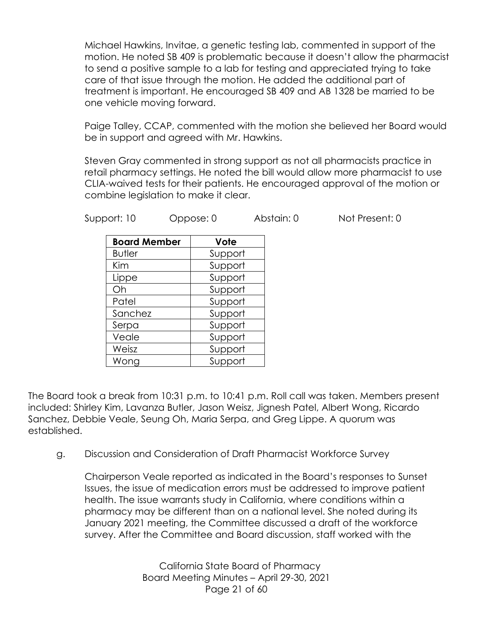Michael Hawkins, Invitae, a genetic testing lab, commented in support of the motion. He noted SB 409 is problematic because it doesn't allow the pharmacist to send a positive sample to a lab for testing and appreciated trying to take care of that issue through the motion. He added the additional part of treatment is important. He encouraged SB 409 and AB 1328 be married to be one vehicle moving forward.

Paige Talley, CCAP, commented with the motion she believed her Board would be in support and agreed with Mr. Hawkins.

Steven Gray commented in strong support as not all pharmacists practice in retail pharmacy settings. He noted the bill would allow more pharmacist to use CLIA-waived tests for their patients. He encouraged approval of the motion or combine legislation to make it clear.

Support: 10 Oppose: 0 Abstain: 0 Not Present: 0

| <b>Board Member</b> | Vote    |
|---------------------|---------|
| <b>Butler</b>       | Support |
| Kim                 | Support |
| Lippe               | Support |
| Oh                  | Support |
| Patel               | Support |
| Sanchez             | Support |
| Serpa               | Support |
| Veale               | Support |
| Weisz               | Support |
| Wong                | Support |

The Board took a break from 10:31 p.m. to 10:41 p.m. Roll call was taken. Members present included: Shirley Kim, Lavanza Butler, Jason Weisz, Jignesh Patel, Albert Wong, Ricardo Sanchez, Debbie Veale, Seung Oh, Maria Serpa, and Greg Lippe. A quorum was established.

g. Discussion and Consideration of Draft Pharmacist Workforce Survey

Chairperson Veale reported as indicated in the Board's responses to Sunset Issues, the issue of medication errors must be addressed to improve patient health. The issue warrants study in California, where conditions within a pharmacy may be different than on a national level. She noted during its January 2021 meeting, the Committee discussed a draft of the workforce survey. After the Committee and Board discussion, staff worked with the

> California State Board of Pharmacy Board Meeting Minutes – April 29-30, 2021 Page 21 of 60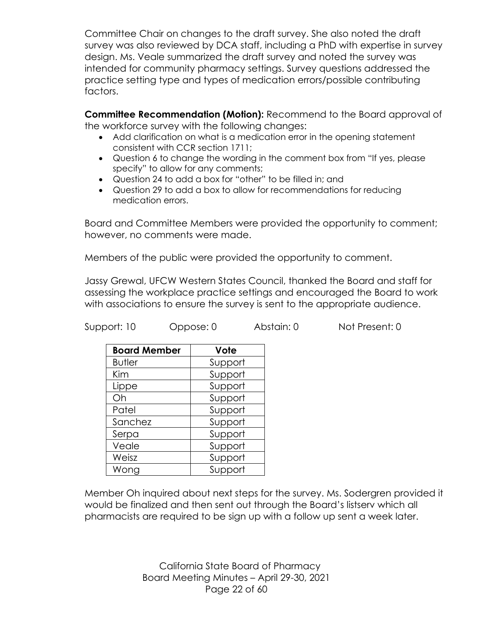Committee Chair on changes to the draft survey. She also noted the draft survey was also reviewed by DCA staff, including a PhD with expertise in survey design. Ms. Veale summarized the draft survey and noted the survey was intended for community pharmacy settings. Survey questions addressed the practice setting type and types of medication errors/possible contributing factors.

**Committee Recommendation (Motion):** Recommend to the Board approval of the workforce survey with the following changes:

- Add clarification on what is a medication error in the opening statement consistent with CCR section 1711;
- Question 6 to change the wording in the comment box from "If yes, please specify" to allow for any comments;
- Question 24 to add a box for "other" to be filled in; and
- Question 29 to add a box to allow for recommendations for reducing medication errors.

Board and Committee Members were provided the opportunity to comment; however, no comments were made.

Members of the public were provided the opportunity to comment.

Jassy Grewal, UFCW Western States Council, thanked the Board and staff for assessing the workplace practice settings and encouraged the Board to work with associations to ensure the survey is sent to the appropriate audience.

Support: 10 Oppose: 0 Abstain: 0 Not Present: 0

| <b>Board Member</b> | Vote    |
|---------------------|---------|
| <b>Butler</b>       | Support |
| Kim                 | Support |
| Lippe               | Support |
| Oh                  | Support |
| Patel               | Support |
| Sanchez             | Support |
| Serpa               | Support |
| Veale               | Support |
| Weisz               | Support |
| Wong                | Support |

Member Oh inquired about next steps for the survey. Ms. Sodergren provided it would be finalized and then sent out through the Board's listserv which all pharmacists are required to be sign up with a follow up sent a week later.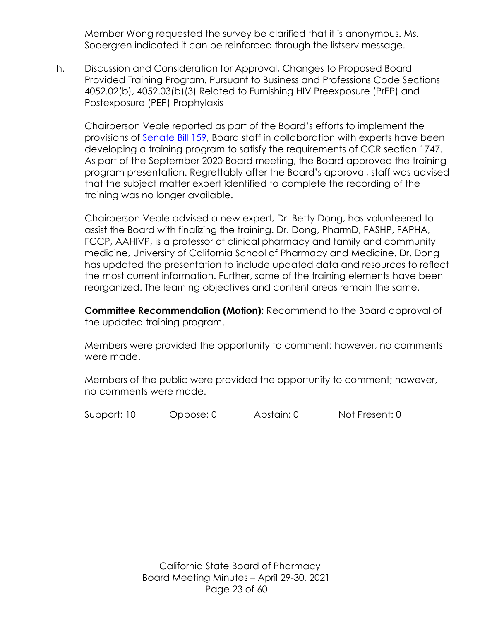Member Wong requested the survey be clarified that it is anonymous. Ms. Sodergren indicated it can be reinforced through the listserv message.

h. Discussion and Consideration for Approval, Changes to Proposed Board Provided Training Program. Pursuant to Business and Professions Code Sections 4052.02(b), 4052.03(b)(3) Related to Furnishing HIV Preexposure (PrEP) and Postexposure (PEP) Prophylaxis

Chairperson Veale reported as part of the Board's efforts to implement the provisions of [Senate Bill 159,](https://leginfo.legislature.ca.gov/faces/billNavClient.xhtml?bill_id=201920200SB159) Board staff in collaboration with experts have been developing a training program to satisfy the requirements of CCR section 1747. As part of the September 2020 Board meeting, the Board approved the training program presentation. Regrettably after the Board's approval, staff was advised that the subject matter expert identified to complete the recording of the training was no longer available.

Chairperson Veale advised a new expert, Dr. Betty Dong, has volunteered to assist the Board with finalizing the training. Dr. Dong, PharmD, FASHP, FAPHA, FCCP, AAHIVP, is a professor of clinical pharmacy and family and community medicine, University of California School of Pharmacy and Medicine. Dr. Dong has updated the presentation to include updated data and resources to reflect the most current information. Further, some of the training elements have been reorganized. The learning objectives and content areas remain the same.

**Committee Recommendation (Motion):** Recommend to the Board approval of the updated training program.

Members were provided the opportunity to comment; however, no comments were made.

Members of the public were provided the opportunity to comment; however, no comments were made.

Support: 10 Oppose: 0 Abstain: 0 Not Present: 0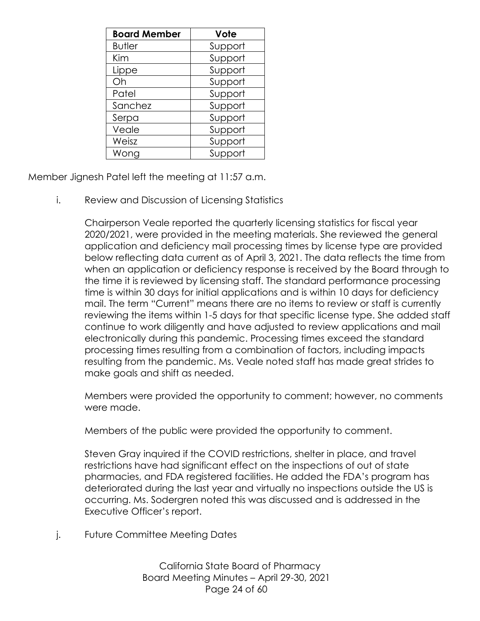| <b>Board Member</b> | Vote    |
|---------------------|---------|
| <b>Butler</b>       | Support |
| Kim                 | Support |
| Lippe               | Support |
| Oh                  | Support |
| Patel               | Support |
| Sanchez             | Support |
| Serpa               | Support |
| Veale               | Support |
| Weisz               | Support |
| Wong                | Support |

Member Jignesh Patel left the meeting at 11:57 a.m.

i. Review and Discussion of Licensing Statistics

Chairperson Veale reported the quarterly licensing statistics for fiscal year 2020/2021, were provided in the meeting materials. She reviewed the general application and deficiency mail processing times by license type are provided below reflecting data current as of April 3, 2021. The data reflects the time from when an application or deficiency response is received by the Board through to the time it is reviewed by licensing staff. The standard performance processing time is within 30 days for initial applications and is within 10 days for deficiency mail. The term "Current" means there are no items to review or staff is currently reviewing the items within 1-5 days for that specific license type. She added staff continue to work diligently and have adjusted to review applications and mail electronically during this pandemic. Processing times exceed the standard processing times resulting from a combination of factors, including impacts resulting from the pandemic. Ms. Veale noted staff has made great strides to make goals and shift as needed.

Members were provided the opportunity to comment; however, no comments were made.

Members of the public were provided the opportunity to comment.

Steven Gray inquired if the COVID restrictions, shelter in place, and travel restrictions have had significant effect on the inspections of out of state pharmacies, and FDA registered facilities. He added the FDA's program has deteriorated during the last year and virtually no inspections outside the US is occurring. Ms. Sodergren noted this was discussed and is addressed in the Executive Officer's report.

j. Future Committee Meeting Dates

California State Board of Pharmacy Board Meeting Minutes – April 29-30, 2021 Page 24 of 60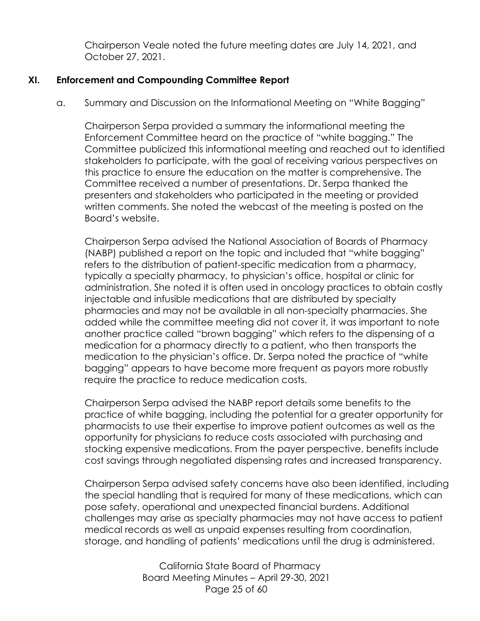Chairperson Veale noted the future meeting dates are July 14, 2021, and October 27, 2021.

## **XI. Enforcement and Compounding Committee Report**

a. Summary and Discussion on the Informational Meeting on "White Bagging"

Chairperson Serpa provided a summary the informational meeting the Enforcement Committee heard on the practice of "white bagging." The Committee publicized this informational meeting and reached out to identified stakeholders to participate, with the goal of receiving various perspectives on this practice to ensure the education on the matter is comprehensive. The Committee received a number of presentations. Dr. Serpa thanked the presenters and stakeholders who participated in the meeting or provided written comments. She noted the webcast of the meeting is posted on the Board's website.

Chairperson Serpa advised the National Association of Boards of Pharmacy (NABP) published a report on the topic and included that "white bagging" refers to the distribution of patient-specific medication from a pharmacy, typically a specialty pharmacy, to physician's office, hospital or clinic for administration. She noted it is often used in oncology practices to obtain costly injectable and infusible medications that are distributed by specialty pharmacies and may not be available in all non-specialty pharmacies. She added while the committee meeting did not cover it, it was important to note another practice called "brown bagging" which refers to the dispensing of a medication for a pharmacy directly to a patient, who then transports the medication to the physician's office. Dr. Serpa noted the practice of "white bagging" appears to have become more frequent as payors more robustly require the practice to reduce medication costs.

Chairperson Serpa advised the NABP report details some benefits to the practice of white bagging, including the potential for a greater opportunity for pharmacists to use their expertise to improve patient outcomes as well as the opportunity for physicians to reduce costs associated with purchasing and stocking expensive medications. From the payer perspective, benefits include cost savings through negotiated dispensing rates and increased transparency.

Chairperson Serpa advised safety concerns have also been identified, including the special handling that is required for many of these medications, which can pose safety, operational and unexpected financial burdens. Additional challenges may arise as specialty pharmacies may not have access to patient medical records as well as unpaid expenses resulting from coordination, storage, and handling of patients' medications until the drug is administered.

> California State Board of Pharmacy Board Meeting Minutes – April 29-30, 2021 Page 25 of 60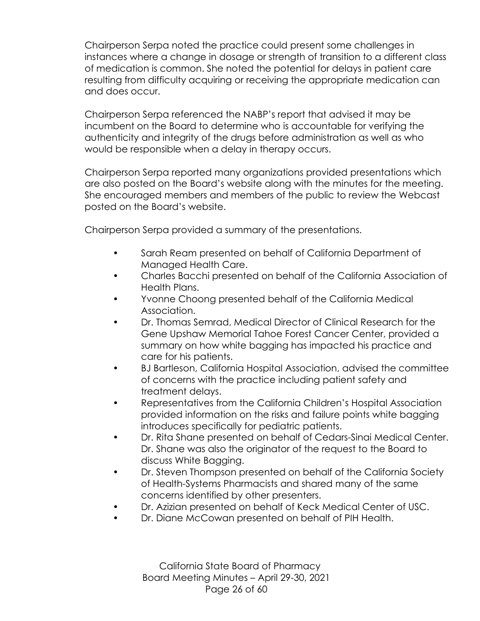Chairperson Serpa noted the practice could present some challenges in instances where a change in dosage or strength of transition to a different class of medication is common. She noted the potential for delays in patient care resulting from difficulty acquiring or receiving the appropriate medication can and does occur.

Chairperson Serpa referenced the NABP's report that advised it may be incumbent on the Board to determine who is accountable for verifying the authenticity and integrity of the drugs before administration as well as who would be responsible when a delay in therapy occurs.

Chairperson Serpa reported many organizations provided presentations which are also posted on the Board's website along with the minutes for the meeting. She encouraged members and members of the public to review the Webcast posted on the Board's website.

Chairperson Serpa provided a summary of the presentations.

- Sarah Ream presented on behalf of California Department of Managed Health Care.
- Charles Bacchi presented on behalf of the California Association of Health Plans.
- Yvonne Choong presented behalf of the California Medical Association.
- Dr. Thomas Semrad, Medical Director of Clinical Research for the Gene Upshaw Memorial Tahoe Forest Cancer Center, provided a summary on how white bagging has impacted his practice and care for his patients.
- BJ Bartleson, California Hospital Association, advised the committee of concerns with the practice including patient safety and treatment delays.
- Representatives from the California Children's Hospital Association provided information on the risks and failure points white bagging introduces specifically for pediatric patients.
- Dr. Rita Shane presented on behalf of Cedars-Sinai Medical Center. Dr. Shane was also the originator of the request to the Board to discuss White Bagging.
- Dr. Steven Thompson presented on behalf of the California Society of Health-Systems Pharmacists and shared many of the same concerns identified by other presenters.
- Dr. Azizian presented on behalf of Keck Medical Center of USC.
- Dr. Diane McCowan presented on behalf of PIH Health.

California State Board of Pharmacy Board Meeting Minutes – April 29-30, 2021 Page 26 of 60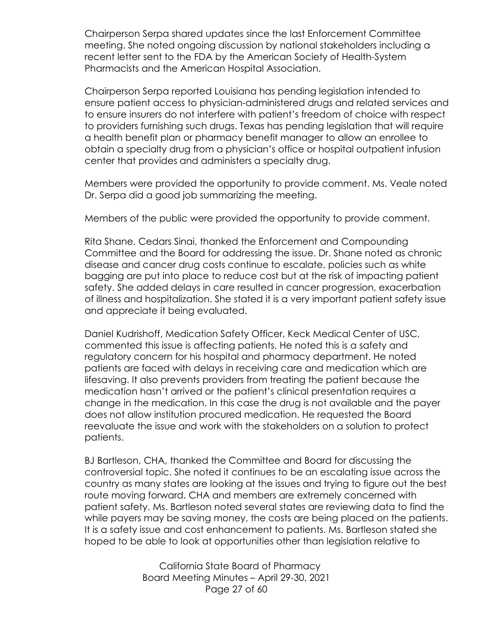Chairperson Serpa shared updates since the last Enforcement Committee meeting. She noted ongoing discussion by national stakeholders including a recent letter sent to the FDA by the American Society of Health-System Pharmacists and the American Hospital Association.

Chairperson Serpa reported Louisiana has pending legislation intended to ensure patient access to physician-administered drugs and related services and to ensure insurers do not interfere with patient's freedom of choice with respect to providers furnishing such drugs. Texas has pending legislation that will require a health benefit plan or pharmacy benefit manager to allow an enrollee to obtain a specialty drug from a physician's office or hospital outpatient infusion center that provides and administers a specialty drug.

Members were provided the opportunity to provide comment. Ms. Veale noted Dr. Serpa did a good job summarizing the meeting.

Members of the public were provided the opportunity to provide comment.

Rita Shane, Cedars Sinai, thanked the Enforcement and Compounding Committee and the Board for addressing the issue. Dr. Shane noted as chronic disease and cancer drug costs continue to escalate, policies such as white bagging are put into place to reduce cost but at the risk of impacting patient safety. She added delays in care resulted in cancer progression, exacerbation of illness and hospitalization. She stated it is a very important patient safety issue and appreciate it being evaluated.

Daniel Kudrishoff, Medication Safety Officer, Keck Medical Center of USC, commented this issue is affecting patients. He noted this is a safety and regulatory concern for his hospital and pharmacy department. He noted patients are faced with delays in receiving care and medication which are lifesaving. It also prevents providers from treating the patient because the medication hasn't arrived or the patient's clinical presentation requires a change in the medication. In this case the drug is not available and the payer does not allow institution procured medication. He requested the Board reevaluate the issue and work with the stakeholders on a solution to protect patients.

BJ Bartleson, CHA, thanked the Committee and Board for discussing the controversial topic. She noted it continues to be an escalating issue across the country as many states are looking at the issues and trying to figure out the best route moving forward. CHA and members are extremely concerned with patient safety. Ms. Bartleson noted several states are reviewing data to find the while payers may be saving money, the costs are being placed on the patients. It is a safety issue and cost enhancement to patients. Ms. Bartleson stated she hoped to be able to look at opportunities other than legislation relative to

> California State Board of Pharmacy Board Meeting Minutes – April 29-30, 2021 Page 27 of 60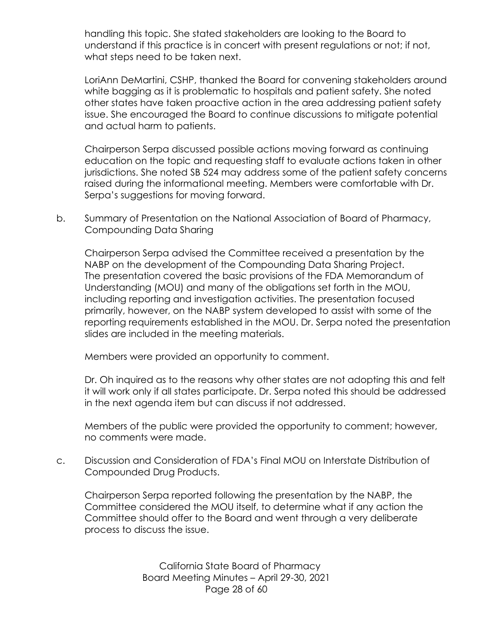handling this topic. She stated stakeholders are looking to the Board to understand if this practice is in concert with present regulations or not; if not, what steps need to be taken next.

LoriAnn DeMartini, CSHP, thanked the Board for convening stakeholders around white bagging as it is problematic to hospitals and patient safety. She noted other states have taken proactive action in the area addressing patient safety issue. She encouraged the Board to continue discussions to mitigate potential and actual harm to patients.

Chairperson Serpa discussed possible actions moving forward as continuing education on the topic and requesting staff to evaluate actions taken in other jurisdictions. She noted SB 524 may address some of the patient safety concerns raised during the informational meeting. Members were comfortable with Dr. Serpa's suggestions for moving forward.

b. Summary of Presentation on the National Association of Board of Pharmacy, Compounding Data Sharing

Chairperson Serpa advised the Committee received a presentation by the NABP on the development of the Compounding Data Sharing Project. The presentation covered the basic provisions of the FDA Memorandum of Understanding (MOU) and many of the obligations set forth in the MOU, including reporting and investigation activities. The presentation focused primarily, however, on the NABP system developed to assist with some of the reporting requirements established in the MOU. Dr. Serpa noted the presentation slides are included in the meeting materials.

Members were provided an opportunity to comment.

Dr. Oh inquired as to the reasons why other states are not adopting this and felt it will work only if all states participate. Dr. Serpa noted this should be addressed in the next agenda item but can discuss if not addressed.

Members of the public were provided the opportunity to comment; however, no comments were made.

c. Discussion and Consideration of FDA's Final MOU on Interstate Distribution of Compounded Drug Products.

Chairperson Serpa reported following the presentation by the NABP, the Committee considered the MOU itself, to determine what if any action the Committee should offer to the Board and went through a very deliberate process to discuss the issue.

> California State Board of Pharmacy Board Meeting Minutes – April 29-30, 2021 Page 28 of 60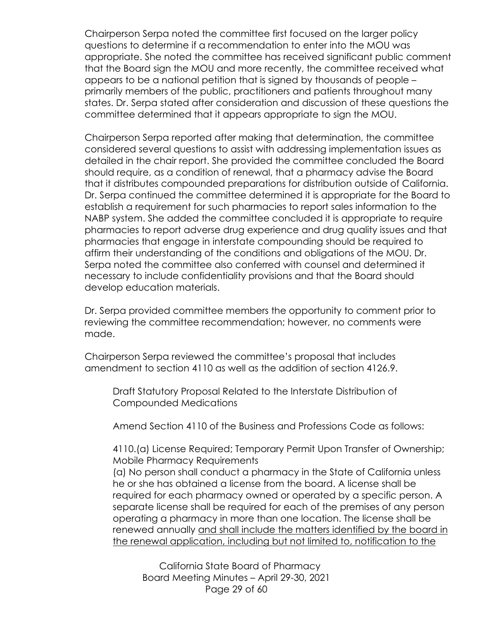Chairperson Serpa noted the committee first focused on the larger policy questions to determine if a recommendation to enter into the MOU was appropriate. She noted the committee has received significant public comment that the Board sign the MOU and more recently, the committee received what appears to be a national petition that is signed by thousands of people – primarily members of the public, practitioners and patients throughout many states. Dr. Serpa stated after consideration and discussion of these questions the committee determined that it appears appropriate to sign the MOU.

Chairperson Serpa reported after making that determination, the committee considered several questions to assist with addressing implementation issues as detailed in the chair report. She provided the committee concluded the Board should require, as a condition of renewal, that a pharmacy advise the Board that it distributes compounded preparations for distribution outside of California. Dr. Serpa continued the committee determined it is appropriate for the Board to establish a requirement for such pharmacies to report sales information to the NABP system. She added the committee concluded it is appropriate to require pharmacies to report adverse drug experience and drug quality issues and that pharmacies that engage in interstate compounding should be required to affirm their understanding of the conditions and obligations of the MOU. Dr. Serpa noted the committee also conferred with counsel and determined it necessary to include confidentiality provisions and that the Board should develop education materials.

Dr. Serpa provided committee members the opportunity to comment prior to reviewing the committee recommendation; however, no comments were made.

Chairperson Serpa reviewed the committee's proposal that includes amendment to section 4110 as well as the addition of section 4126.9.

Draft Statutory Proposal Related to the Interstate Distribution of Compounded Medications

Amend Section 4110 of the Business and Professions Code as follows:

4110.(a) License Required; Temporary Permit Upon Transfer of Ownership; Mobile Pharmacy Requirements

(a) No person shall conduct a pharmacy in the State of California unless he or she has obtained a license from the board. A license shall be required for each pharmacy owned or operated by a specific person. A separate license shall be required for each of the premises of any person operating a pharmacy in more than one location. The license shall be renewed annually and shall include the matters identified by the board in the renewal application, including but not limited to, notification to the

California State Board of Pharmacy Board Meeting Minutes – April 29-30, 2021 Page 29 of 60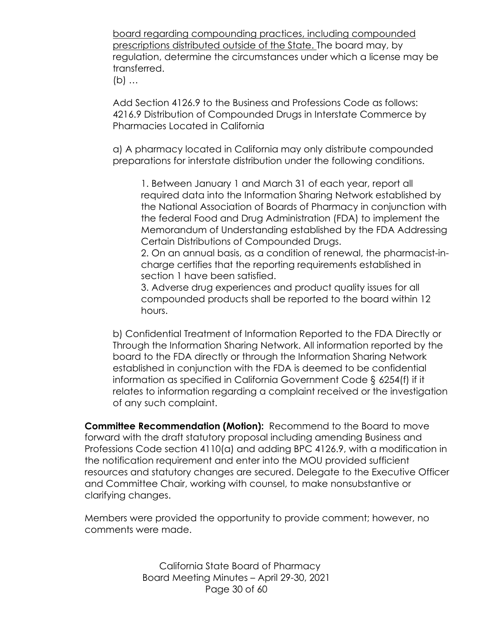board regarding compounding practices, including compounded prescriptions distributed outside of the State. The board may, by regulation, determine the circumstances under which a license may be transferred.

(b) …

Add Section 4126.9 to the Business and Professions Code as follows: 4216.9 Distribution of Compounded Drugs in Interstate Commerce by Pharmacies Located in California

a) A pharmacy located in California may only distribute compounded preparations for interstate distribution under the following conditions.

1. Between January 1 and March 31 of each year, report all required data into the Information Sharing Network established by the National Association of Boards of Pharmacy in conjunction with the federal Food and Drug Administration (FDA) to implement the Memorandum of Understanding established by the FDA Addressing Certain Distributions of Compounded Drugs.

2. On an annual basis, as a condition of renewal, the pharmacist-incharge certifies that the reporting requirements established in section 1 have been satisfied.

3. Adverse drug experiences and product quality issues for all compounded products shall be reported to the board within 12 hours.

b) Confidential Treatment of Information Reported to the FDA Directly or Through the Information Sharing Network. All information reported by the board to the FDA directly or through the Information Sharing Network established in conjunction with the FDA is deemed to be confidential information as specified in California Government Code § 6254(f) if it relates to information regarding a complaint received or the investigation of any such complaint.

**Committee Recommendation (Motion):** Recommend to the Board to move forward with the draft statutory proposal including amending Business and Professions Code section 4110(a) and adding BPC 4126.9, with a modification in the notification requirement and enter into the MOU provided sufficient resources and statutory changes are secured. Delegate to the Executive Officer and Committee Chair, working with counsel, to make nonsubstantive or clarifying changes.

Members were provided the opportunity to provide comment; however, no comments were made.

> California State Board of Pharmacy Board Meeting Minutes – April 29-30, 2021 Page 30 of 60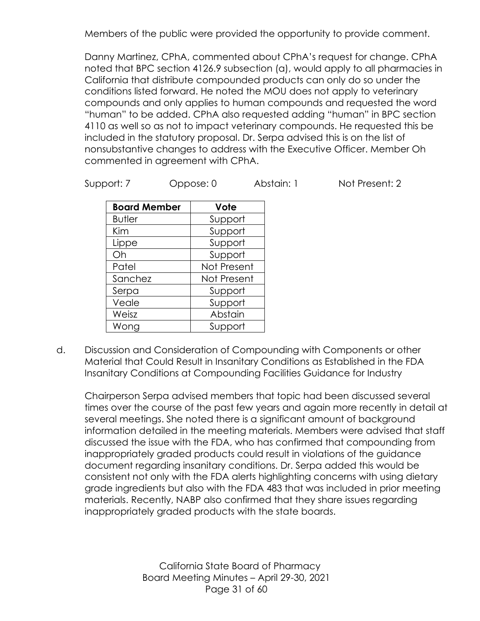Members of the public were provided the opportunity to provide comment.

Danny Martinez, CPhA, commented about CPhA's request for change. CPhA noted that BPC section 4126.9 subsection (a), would apply to all pharmacies in California that distribute compounded products can only do so under the conditions listed forward. He noted the MOU does not apply to veterinary compounds and only applies to human compounds and requested the word "human" to be added. CPhA also requested adding "human" in BPC section 4110 as well so as not to impact veterinary compounds. He requested this be included in the statutory proposal. Dr. Serpa advised this is on the list of nonsubstantive changes to address with the Executive Officer. Member Oh commented in agreement with CPhA.

| Support: 7 | Oppose: 0 | Abstain: 1 | Not Present: 2 |
|------------|-----------|------------|----------------|
|            |           |            |                |

| <b>Board Member</b> | Vote        |
|---------------------|-------------|
| <b>Butler</b>       | Support     |
| Kim                 | Support     |
| Lippe               | Support     |
| Oh                  | Support     |
| Patel               | Not Present |
| Sanchez             | Not Present |
| Serpa               | Support     |
| Veale               | Support     |
| Weisz               | Abstain     |
| Wong                | Support     |

d. Discussion and Consideration of Compounding with Components or other Material that Could Result in Insanitary Conditions as Established in the FDA Insanitary Conditions at Compounding Facilities Guidance for Industry

Chairperson Serpa advised members that topic had been discussed several times over the course of the past few years and again more recently in detail at several meetings. She noted there is a significant amount of background information detailed in the meeting materials. Members were advised that staff discussed the issue with the FDA, who has confirmed that compounding from inappropriately graded products could result in violations of the guidance document regarding insanitary conditions. Dr. Serpa added this would be consistent not only with the FDA alerts highlighting concerns with using dietary grade ingredients but also with the FDA 483 that was included in prior meeting materials. Recently, NABP also confirmed that they share issues regarding inappropriately graded products with the state boards.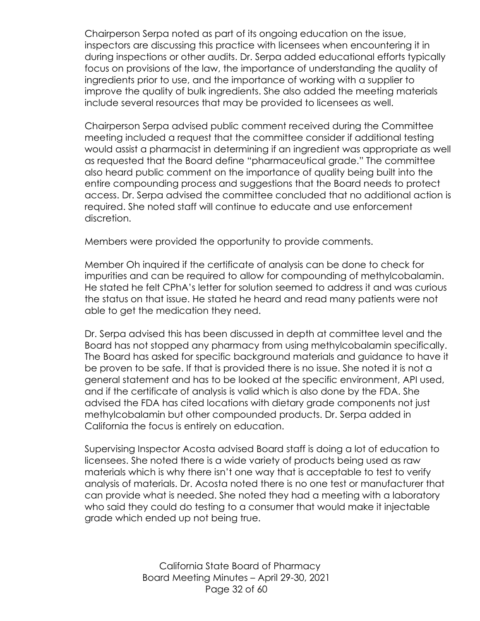Chairperson Serpa noted as part of its ongoing education on the issue, inspectors are discussing this practice with licensees when encountering it in during inspections or other audits. Dr. Serpa added educational efforts typically focus on provisions of the law, the importance of understanding the quality of ingredients prior to use, and the importance of working with a supplier to improve the quality of bulk ingredients. She also added the meeting materials include several resources that may be provided to licensees as well.

Chairperson Serpa advised public comment received during the Committee meeting included a request that the committee consider if additional testing would assist a pharmacist in determining if an ingredient was appropriate as well as requested that the Board define "pharmaceutical grade." The committee also heard public comment on the importance of quality being built into the entire compounding process and suggestions that the Board needs to protect access. Dr. Serpa advised the committee concluded that no additional action is required. She noted staff will continue to educate and use enforcement discretion.

Members were provided the opportunity to provide comments.

Member Oh inquired if the certificate of analysis can be done to check for impurities and can be required to allow for compounding of methylcobalamin. He stated he felt CPhA's letter for solution seemed to address it and was curious the status on that issue. He stated he heard and read many patients were not able to get the medication they need.

Dr. Serpa advised this has been discussed in depth at committee level and the Board has not stopped any pharmacy from using methylcobalamin specifically. The Board has asked for specific background materials and guidance to have it be proven to be safe. If that is provided there is no issue. She noted it is not a general statement and has to be looked at the specific environment, API used, and if the certificate of analysis is valid which is also done by the FDA. She advised the FDA has cited locations with dietary grade components not just methylcobalamin but other compounded products. Dr. Serpa added in California the focus is entirely on education.

Supervising Inspector Acosta advised Board staff is doing a lot of education to licensees. She noted there is a wide variety of products being used as raw materials which is why there isn't one way that is acceptable to test to verify analysis of materials. Dr. Acosta noted there is no one test or manufacturer that can provide what is needed. She noted they had a meeting with a laboratory who said they could do testing to a consumer that would make it injectable grade which ended up not being true.

> California State Board of Pharmacy Board Meeting Minutes – April 29-30, 2021 Page 32 of 60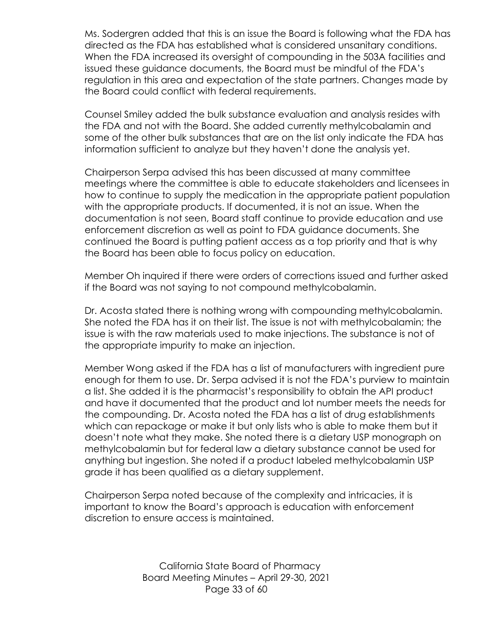Ms. Sodergren added that this is an issue the Board is following what the FDA has directed as the FDA has established what is considered unsanitary conditions. When the FDA increased its oversight of compounding in the 503A facilities and issued these guidance documents, the Board must be mindful of the FDA's regulation in this area and expectation of the state partners. Changes made by the Board could conflict with federal requirements.

Counsel Smiley added the bulk substance evaluation and analysis resides with the FDA and not with the Board. She added currently methylcobalamin and some of the other bulk substances that are on the list only indicate the FDA has information sufficient to analyze but they haven't done the analysis yet.

Chairperson Serpa advised this has been discussed at many committee meetings where the committee is able to educate stakeholders and licensees in how to continue to supply the medication in the appropriate patient population with the appropriate products. If documented, it is not an issue. When the documentation is not seen, Board staff continue to provide education and use enforcement discretion as well as point to FDA guidance documents. She continued the Board is putting patient access as a top priority and that is why the Board has been able to focus policy on education.

Member Oh inquired if there were orders of corrections issued and further asked if the Board was not saying to not compound methylcobalamin.

Dr. Acosta stated there is nothing wrong with compounding methylcobalamin. She noted the FDA has it on their list. The issue is not with methylcobalamin; the issue is with the raw materials used to make injections. The substance is not of the appropriate impurity to make an injection.

Member Wong asked if the FDA has a list of manufacturers with ingredient pure enough for them to use. Dr. Serpa advised it is not the FDA's purview to maintain a list. She added it is the pharmacist's responsibility to obtain the API product and have it documented that the product and lot number meets the needs for the compounding. Dr. Acosta noted the FDA has a list of drug establishments which can repackage or make it but only lists who is able to make them but it doesn't note what they make. She noted there is a dietary USP monograph on methylcobalamin but for federal law a dietary substance cannot be used for anything but ingestion. She noted if a product labeled methylcobalamin USP grade it has been qualified as a dietary supplement.

Chairperson Serpa noted because of the complexity and intricacies, it is important to know the Board's approach is education with enforcement discretion to ensure access is maintained.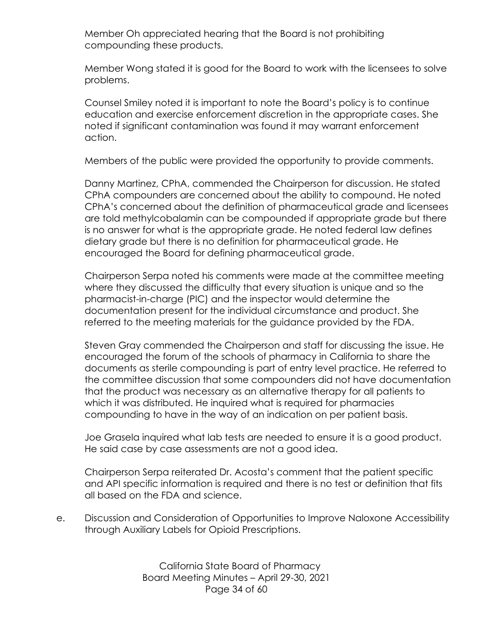Member Oh appreciated hearing that the Board is not prohibiting compounding these products.

Member Wong stated it is good for the Board to work with the licensees to solve problems.

Counsel Smiley noted it is important to note the Board's policy is to continue education and exercise enforcement discretion in the appropriate cases. She noted if significant contamination was found it may warrant enforcement action.

Members of the public were provided the opportunity to provide comments.

Danny Martinez, CPhA, commended the Chairperson for discussion. He stated CPhA compounders are concerned about the ability to compound. He noted CPhA's concerned about the definition of pharmaceutical grade and licensees are told methylcobalamin can be compounded if appropriate grade but there is no answer for what is the appropriate grade. He noted federal law defines dietary grade but there is no definition for pharmaceutical grade. He encouraged the Board for defining pharmaceutical grade.

Chairperson Serpa noted his comments were made at the committee meeting where they discussed the difficulty that every situation is unique and so the pharmacist-in-charge (PIC) and the inspector would determine the documentation present for the individual circumstance and product. She referred to the meeting materials for the guidance provided by the FDA.

Steven Gray commended the Chairperson and staff for discussing the issue. He encouraged the forum of the schools of pharmacy in California to share the documents as sterile compounding is part of entry level practice. He referred to the committee discussion that some compounders did not have documentation that the product was necessary as an alternative therapy for all patients to which it was distributed. He inquired what is required for pharmacies compounding to have in the way of an indication on per patient basis.

Joe Grasela inquired what lab tests are needed to ensure it is a good product. He said case by case assessments are not a good idea.

Chairperson Serpa reiterated Dr. Acosta's comment that the patient specific and API specific information is required and there is no test or definition that fits all based on the FDA and science.

e. Discussion and Consideration of Opportunities to Improve Naloxone Accessibility through Auxiliary Labels for Opioid Prescriptions.

> California State Board of Pharmacy Board Meeting Minutes – April 29-30, 2021 Page 34 of 60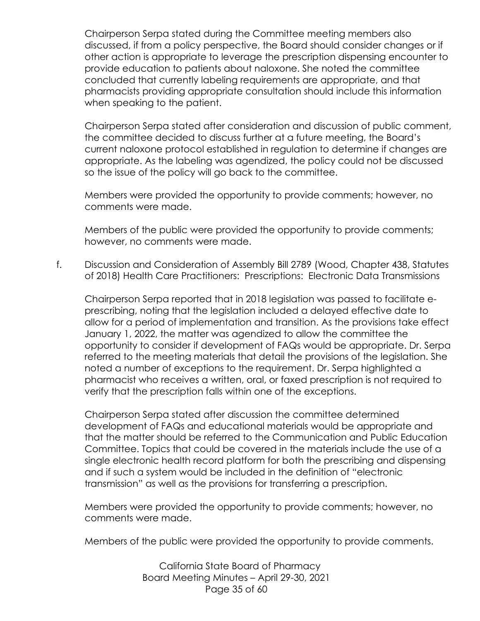Chairperson Serpa stated during the Committee meeting members also discussed, if from a policy perspective, the Board should consider changes or if other action is appropriate to leverage the prescription dispensing encounter to provide education to patients about naloxone. She noted the committee concluded that currently labeling requirements are appropriate, and that pharmacists providing appropriate consultation should include this information when speaking to the patient.

Chairperson Serpa stated after consideration and discussion of public comment, the committee decided to discuss further at a future meeting, the Board's current naloxone protocol established in regulation to determine if changes are appropriate. As the labeling was agendized, the policy could not be discussed so the issue of the policy will go back to the committee.

Members were provided the opportunity to provide comments; however, no comments were made.

Members of the public were provided the opportunity to provide comments; however, no comments were made.

f. Discussion and Consideration of Assembly Bill 2789 (Wood, Chapter 438, Statutes of 2018) Health Care Practitioners: Prescriptions: Electronic Data Transmissions

Chairperson Serpa reported that in 2018 legislation was passed to facilitate eprescribing, noting that the legislation included a delayed effective date to allow for a period of implementation and transition. As the provisions take effect January 1, 2022, the matter was agendized to allow the committee the opportunity to consider if development of FAQs would be appropriate. Dr. Serpa referred to the meeting materials that detail the provisions of the legislation. She noted a number of exceptions to the requirement. Dr. Serpa highlighted a pharmacist who receives a written, oral, or faxed prescription is not required to verify that the prescription falls within one of the exceptions.

Chairperson Serpa stated after discussion the committee determined development of FAQs and educational materials would be appropriate and that the matter should be referred to the Communication and Public Education Committee. Topics that could be covered in the materials include the use of a single electronic health record platform for both the prescribing and dispensing and if such a system would be included in the definition of "electronic transmission" as well as the provisions for transferring a prescription.

Members were provided the opportunity to provide comments; however, no comments were made.

Members of the public were provided the opportunity to provide comments.

California State Board of Pharmacy Board Meeting Minutes – April 29-30, 2021 Page 35 of 60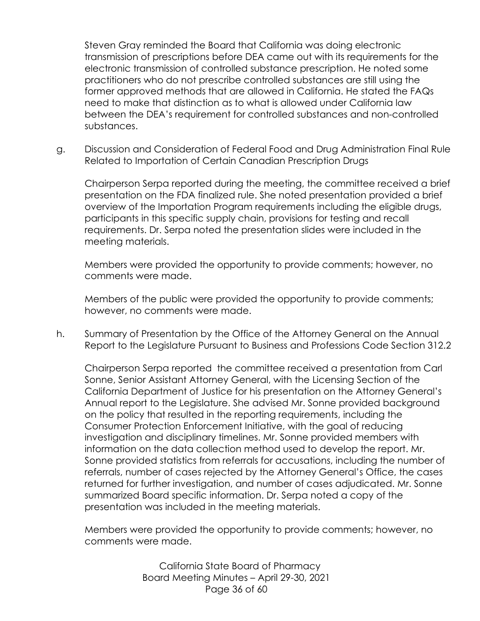Steven Gray reminded the Board that California was doing electronic transmission of prescriptions before DEA came out with its requirements for the electronic transmission of controlled substance prescription. He noted some practitioners who do not prescribe controlled substances are still using the former approved methods that are allowed in California. He stated the FAQs need to make that distinction as to what is allowed under California law between the DEA's requirement for controlled substances and non-controlled substances.

g. Discussion and Consideration of Federal Food and Drug Administration Final Rule Related to Importation of Certain Canadian Prescription Drugs

Chairperson Serpa reported during the meeting, the committee received a brief presentation on the FDA finalized rule. She noted presentation provided a brief overview of the Importation Program requirements including the eligible drugs, participants in this specific supply chain, provisions for testing and recall requirements. Dr. Serpa noted the presentation slides were included in the meeting materials.

Members were provided the opportunity to provide comments; however, no comments were made.

Members of the public were provided the opportunity to provide comments; however, no comments were made.

h. Summary of Presentation by the Office of the Attorney General on the Annual Report to the Legislature Pursuant to Business and Professions Code Section 312.2

Chairperson Serpa reported the committee received a presentation from Carl Sonne, Senior Assistant Attorney General, with the Licensing Section of the California Department of Justice for his presentation on the Attorney General's Annual report to the Legislature. She advised Mr. Sonne provided background on the policy that resulted in the reporting requirements, including the Consumer Protection Enforcement Initiative, with the goal of reducing investigation and disciplinary timelines. Mr. Sonne provided members with information on the data collection method used to develop the report. Mr. Sonne provided statistics from referrals for accusations, including the number of referrals, number of cases rejected by the Attorney General's Office, the cases returned for further investigation, and number of cases adjudicated. Mr. Sonne summarized Board specific information. Dr. Serpa noted a copy of the presentation was included in the meeting materials.

Members were provided the opportunity to provide comments; however, no comments were made.

> California State Board of Pharmacy Board Meeting Minutes – April 29-30, 2021 Page 36 of 60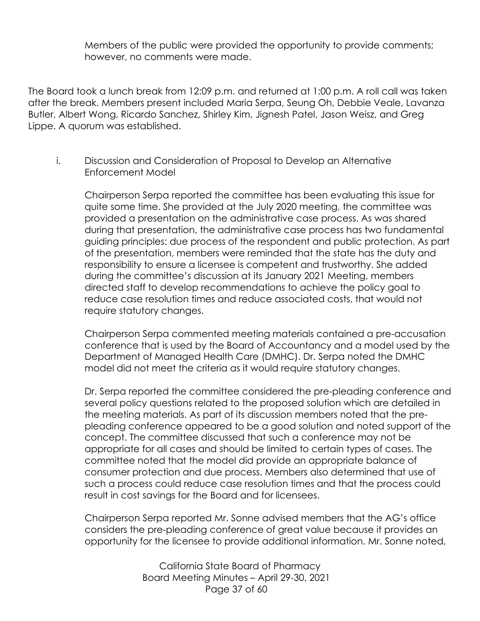Members of the public were provided the opportunity to provide comments; however, no comments were made.

The Board took a lunch break from 12:09 p.m. and returned at 1:00 p.m. A roll call was taken after the break. Members present included Maria Serpa, Seung Oh, Debbie Veale, Lavanza Butler, Albert Wong, Ricardo Sanchez, Shirley Kim, Jignesh Patel, Jason Weisz, and Greg Lippe. A quorum was established.

i. Discussion and Consideration of Proposal to Develop an Alternative Enforcement Model

Chairperson Serpa reported the committee has been evaluating this issue for quite some time. She provided at the July 2020 meeting, the committee was provided a presentation on the administrative case process. As was shared during that presentation, the administrative case process has two fundamental guiding principles: due process of the respondent and public protection. As part of the presentation, members were reminded that the state has the duty and responsibility to ensure a licensee is competent and trustworthy. She added during the committee's discussion at its January 2021 Meeting, members directed staff to develop recommendations to achieve the policy goal to reduce case resolution times and reduce associated costs, that would not require statutory changes.

Chairperson Serpa commented meeting materials contained a pre-accusation conference that is used by the Board of Accountancy and a model used by the Department of Managed Health Care (DMHC). Dr. Serpa noted the DMHC model did not meet the criteria as it would require statutory changes.

Dr. Serpa reported the committee considered the pre-pleading conference and several policy questions related to the proposed solution which are detailed in the meeting materials. As part of its discussion members noted that the prepleading conference appeared to be a good solution and noted support of the concept. The committee discussed that such a conference may not be appropriate for all cases and should be limited to certain types of cases. The committee noted that the model did provide an appropriate balance of consumer protection and due process. Members also determined that use of such a process could reduce case resolution times and that the process could result in cost savings for the Board and for licensees.

Chairperson Serpa reported Mr. Sonne advised members that the AG's office considers the pre-pleading conference of great value because it provides an opportunity for the licensee to provide additional information. Mr. Sonne noted,

> California State Board of Pharmacy Board Meeting Minutes – April 29-30, 2021 Page 37 of 60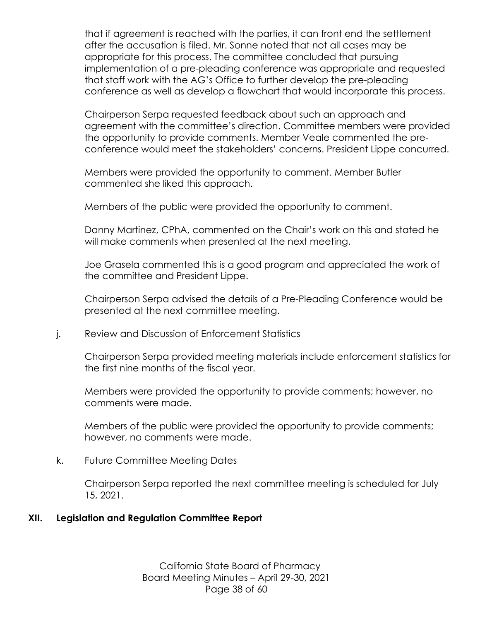that if agreement is reached with the parties, it can front end the settlement after the accusation is filed. Mr. Sonne noted that not all cases may be appropriate for this process. The committee concluded that pursuing implementation of a pre-pleading conference was appropriate and requested that staff work with the AG's Office to further develop the pre-pleading conference as well as develop a flowchart that would incorporate this process.

Chairperson Serpa requested feedback about such an approach and agreement with the committee's direction. Committee members were provided the opportunity to provide comments. Member Veale commented the preconference would meet the stakeholders' concerns. President Lippe concurred.

Members were provided the opportunity to comment. Member Butler commented she liked this approach.

Members of the public were provided the opportunity to comment.

Danny Martinez, CPhA, commented on the Chair's work on this and stated he will make comments when presented at the next meeting.

Joe Grasela commented this is a good program and appreciated the work of the committee and President Lippe.

Chairperson Serpa advised the details of a Pre-Pleading Conference would be presented at the next committee meeting.

j. Review and Discussion of Enforcement Statistics

Chairperson Serpa provided meeting materials include enforcement statistics for the first nine months of the fiscal year.

Members were provided the opportunity to provide comments; however, no comments were made.

Members of the public were provided the opportunity to provide comments; however, no comments were made.

k. Future Committee Meeting Dates

Chairperson Serpa reported the next committee meeting is scheduled for July 15, 2021.

## **XII. Legislation and Regulation Committee Report**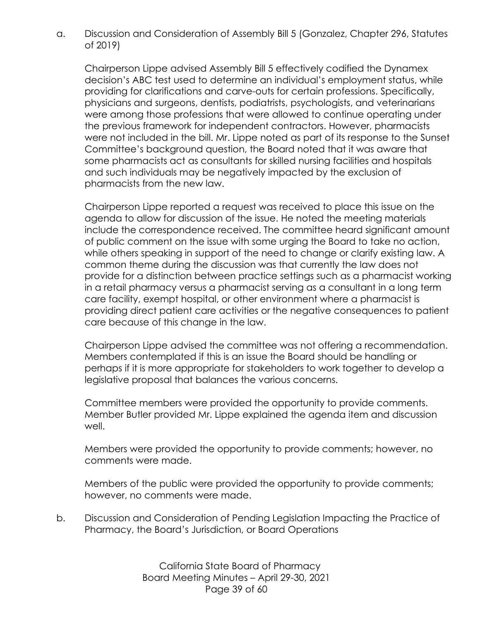a. Discussion and Consideration of Assembly Bill 5 (Gonzalez, Chapter 296, Statutes of 2019)

Chairperson Lippe advised Assembly Bill 5 effectively codified the Dynamex decision's ABC test used to determine an individual's employment status, while providing for clarifications and carve-outs for certain professions. Specifically, physicians and surgeons, dentists, podiatrists, psychologists, and veterinarians were among those professions that were allowed to continue operating under the previous framework for independent contractors. However, pharmacists were not included in the bill. Mr. Lippe noted as part of its response to the Sunset Committee's background question, the Board noted that it was aware that some pharmacists act as consultants for skilled nursing facilities and hospitals and such individuals may be negatively impacted by the exclusion of pharmacists from the new law.

Chairperson Lippe reported a request was received to place this issue on the agenda to allow for discussion of the issue. He noted the meeting materials include the correspondence received. The committee heard significant amount of public comment on the issue with some urging the Board to take no action, while others speaking in support of the need to change or clarify existing law. A common theme during the discussion was that currently the law does not provide for a distinction between practice settings such as a pharmacist working in a retail pharmacy versus a pharmacist serving as a consultant in a long term care facility, exempt hospital, or other environment where a pharmacist is providing direct patient care activities or the negative consequences to patient care because of this change in the law.

Chairperson Lippe advised the committee was not offering a recommendation. Members contemplated if this is an issue the Board should be handling or perhaps if it is more appropriate for stakeholders to work together to develop a legislative proposal that balances the various concerns.

Committee members were provided the opportunity to provide comments. Member Butler provided Mr. Lippe explained the agenda item and discussion well.

Members were provided the opportunity to provide comments; however, no comments were made.

Members of the public were provided the opportunity to provide comments; however, no comments were made.

b. Discussion and Consideration of Pending Legislation Impacting the Practice of Pharmacy, the Board's Jurisdiction, or Board Operations

> California State Board of Pharmacy Board Meeting Minutes – April 29-30, 2021 Page 39 of 60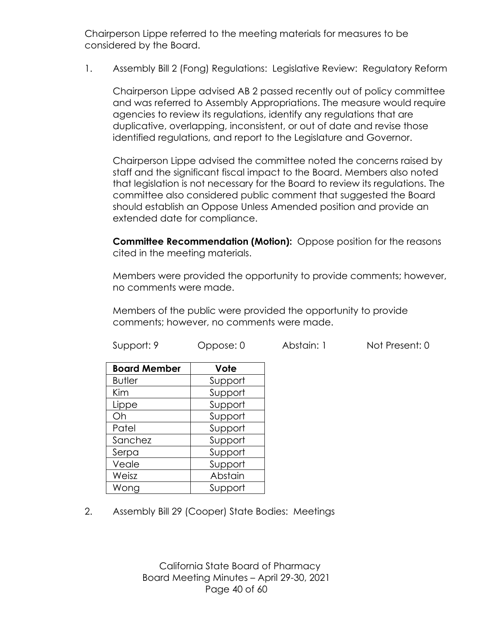Chairperson Lippe referred to the meeting materials for measures to be considered by the Board.

1. Assembly Bill 2 (Fong) Regulations: Legislative Review: Regulatory Reform

Chairperson Lippe advised AB 2 passed recently out of policy committee and was referred to Assembly Appropriations. The measure would require agencies to review its regulations, identify any regulations that are duplicative, overlapping, inconsistent, or out of date and revise those identified regulations, and report to the Legislature and Governor.

Chairperson Lippe advised the committee noted the concerns raised by staff and the significant fiscal impact to the Board. Members also noted that legislation is not necessary for the Board to review its regulations. The committee also considered public comment that suggested the Board should establish an Oppose Unless Amended position and provide an extended date for compliance.

**Committee Recommendation (Motion):** Oppose position for the reasons cited in the meeting materials.

Members were provided the opportunity to provide comments; however, no comments were made.

Members of the public were provided the opportunity to provide comments; however, no comments were made.

| <b>Board Member</b> | Vote    |
|---------------------|---------|
| <b>Butler</b>       | Support |
| Kim                 | Support |
| Lippe               | Support |
| Oh                  | Support |
| Patel               | Support |
| Sanchez             | Support |
| Serpa               | Support |
| Veale               | Support |
| Weisz               | Abstain |
| Wong                | Support |

2. Assembly Bill 29 (Cooper) State Bodies: Meetings

California State Board of Pharmacy Board Meeting Minutes – April 29-30, 2021 Page 40 of 60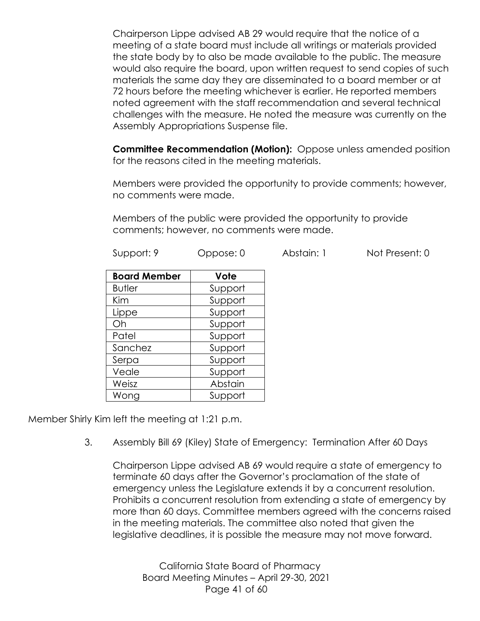Chairperson Lippe advised AB 29 would require that the notice of a meeting of a state board must include all writings or materials provided the state body by to also be made available to the public. The measure would also require the board, upon written request to send copies of such materials the same day they are disseminated to a board member or at 72 hours before the meeting whichever is earlier. He reported members noted agreement with the staff recommendation and several technical challenges with the measure. He noted the measure was currently on the Assembly Appropriations Suspense file.

**Committee Recommendation (Motion):** Oppose unless amended position for the reasons cited in the meeting materials.

Members were provided the opportunity to provide comments; however, no comments were made.

Members of the public were provided the opportunity to provide comments; however, no comments were made.

| Support: 9 | Oppose: 0 | Abstain: | Not Present: 0 |
|------------|-----------|----------|----------------|
|            |           |          |                |

| <b>Board Member</b> | Vote    |
|---------------------|---------|
| <b>Butler</b>       | Support |
| Kim                 | Support |
| Lippe               | Support |
| Oh                  | Support |
| Patel               | Support |
| Sanchez             | Support |
| Serpa               | Support |
| Veale               | Support |
| Weisz               | Abstain |
| Wong                | Support |

Member Shirly Kim left the meeting at 1:21 p.m.

3. Assembly Bill 69 (Kiley) State of Emergency: Termination After 60 Days

Chairperson Lippe advised AB 69 would require a state of emergency to terminate 60 days after the Governor's proclamation of the state of emergency unless the Legislature extends it by a concurrent resolution. Prohibits a concurrent resolution from extending a state of emergency by more than 60 days. Committee members agreed with the concerns raised in the meeting materials. The committee also noted that given the legislative deadlines, it is possible the measure may not move forward.

California State Board of Pharmacy Board Meeting Minutes – April 29-30, 2021 Page 41 of 60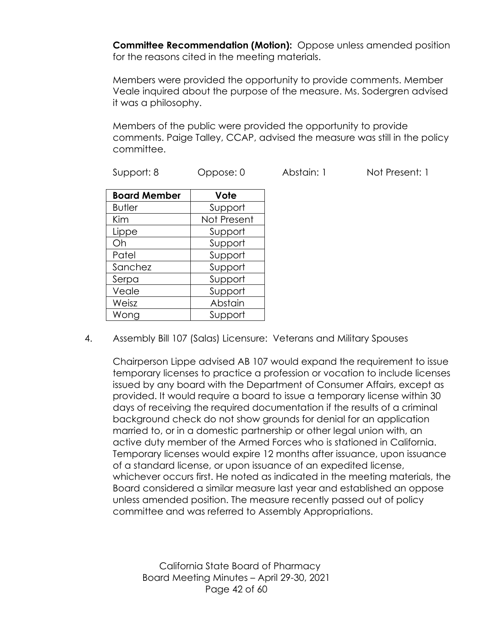**Committee Recommendation (Motion):** Oppose unless amended position for the reasons cited in the meeting materials.

Members were provided the opportunity to provide comments. Member Veale inquired about the purpose of the measure. Ms. Sodergren advised it was a philosophy.

Members of the public were provided the opportunity to provide comments. Paige Talley, CCAP, advised the measure was still in the policy committee.

| <b>Board Member</b> | Vote        |
|---------------------|-------------|
| <b>Butler</b>       | Support     |
| Kim                 | Not Present |
| Lippe               | Support     |
| Oh                  | Support     |
| Patel               | Support     |
| Sanchez             | Support     |
| Serpa               | Support     |
| Veale               | Support     |
| Weisz               | Abstain     |
| Wong                | Support     |

4. Assembly Bill 107 (Salas) Licensure: Veterans and Military Spouses

Chairperson Lippe advised AB 107 would expand the requirement to issue temporary licenses to practice a profession or vocation to include licenses issued by any board with the Department of Consumer Affairs, except as provided. It would require a board to issue a temporary license within 30 days of receiving the required documentation if the results of a criminal background check do not show grounds for denial for an application married to, or in a domestic partnership or other legal union with, an active duty member of the Armed Forces who is stationed in California. Temporary licenses would expire 12 months after issuance, upon issuance of a standard license, or upon issuance of an expedited license, whichever occurs first. He noted as indicated in the meeting materials, the Board considered a similar measure last year and established an oppose unless amended position. The measure recently passed out of policy committee and was referred to Assembly Appropriations.

California State Board of Pharmacy Board Meeting Minutes – April 29-30, 2021 Page 42 of 60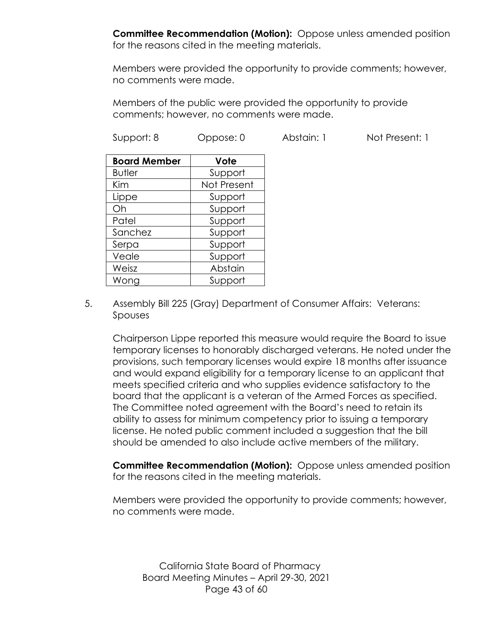**Committee Recommendation (Motion):** Oppose unless amended position for the reasons cited in the meeting materials.

Members were provided the opportunity to provide comments; however, no comments were made.

Members of the public were provided the opportunity to provide comments; however, no comments were made.

| Support: 8          | Oppose: 0   | Abstain: 1 | Not Present: 1 |
|---------------------|-------------|------------|----------------|
| <b>Board Member</b> | Vote        |            |                |
| <b>Butler</b>       | Support     |            |                |
| <b>Kim</b>          | Not Present |            |                |
| Lippe               | Support     |            |                |
| Oh                  | Support     |            |                |
| Patel               | Support     |            |                |
| Sanchez             | Support     |            |                |
| Serpa               | Support     |            |                |
| Veale               | Support     |            |                |
| Weisz               | Abstain     |            |                |
| Wong                | Support     |            |                |

5. Assembly Bill 225 (Gray) Department of Consumer Affairs: Veterans: Spouses

Chairperson Lippe reported this measure would require the Board to issue temporary licenses to honorably discharged veterans. He noted under the provisions, such temporary licenses would expire 18 months after issuance and would expand eligibility for a temporary license to an applicant that meets specified criteria and who supplies evidence satisfactory to the board that the applicant is a veteran of the Armed Forces as specified. The Committee noted agreement with the Board's need to retain its ability to assess for minimum competency prior to issuing a temporary license. He noted public comment included a suggestion that the bill should be amended to also include active members of the military.

**Committee Recommendation (Motion):** Oppose unless amended position for the reasons cited in the meeting materials.

Members were provided the opportunity to provide comments; however, no comments were made.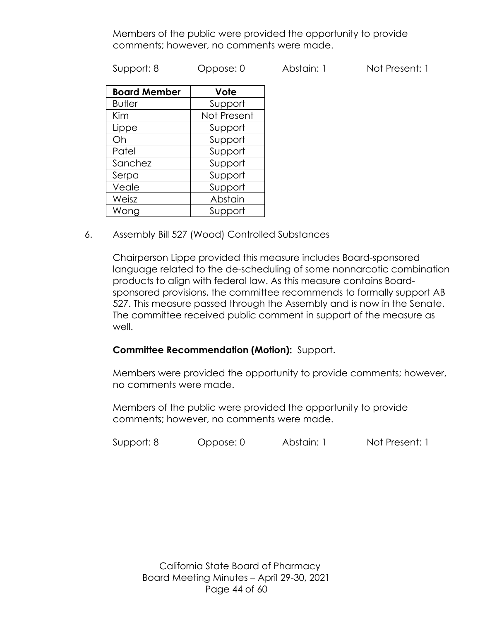Members of the public were provided the opportunity to provide comments; however, no comments were made.

Support: 8 Oppose: 0 Abstain: 1 Not Present: 1

| <b>Board Member</b> | Vote        |
|---------------------|-------------|
| <b>Butler</b>       | Support     |
| Kim                 | Not Present |
| Lippe               | Support     |
| Oh                  | Support     |
| Patel               | Support     |
| Sanchez             | Support     |
| Serpa               | Support     |
| Veale               | Support     |
| Weisz               | Abstain     |
| Wong                | Support     |

6. Assembly Bill 527 (Wood) Controlled Substances

Chairperson Lippe provided this measure includes Board-sponsored language related to the de-scheduling of some nonnarcotic combination products to align with federal law. As this measure contains Boardsponsored provisions, the committee recommends to formally support AB 527. This measure passed through the Assembly and is now in the Senate. The committee received public comment in support of the measure as well.

## **Committee Recommendation (Motion):** Support.

Members were provided the opportunity to provide comments; however, no comments were made.

Members of the public were provided the opportunity to provide comments; however, no comments were made.

Support: 8 Oppose: 0 Abstain: 1 Not Present: 1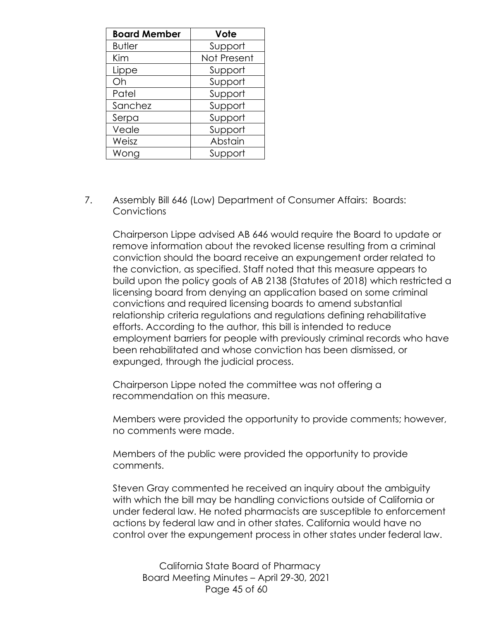| <b>Board Member</b> | Vote        |
|---------------------|-------------|
| <b>Butler</b>       | Support     |
| Kim                 | Not Present |
| Lippe               | Support     |
| Oh                  | Support     |
| Patel               | Support     |
| Sanchez             | Support     |
| Serpa               | Support     |
| Veale               | Support     |
| Weisz               | Abstain     |
| Wong                | Support     |

7. Assembly Bill 646 (Low) Department of Consumer Affairs: Boards: Convictions

Chairperson Lippe advised AB 646 would require the Board to update or remove information about the revoked license resulting from a criminal conviction should the board receive an expungement order related to the conviction, as specified. Staff noted that this measure appears to build upon the policy goals of AB 2138 (Statutes of 2018) which restricted a licensing board from denying an application based on some criminal convictions and required licensing boards to amend substantial relationship criteria regulations and regulations defining rehabilitative efforts. According to the author, this bill is intended to reduce employment barriers for people with previously criminal records who have been rehabilitated and whose conviction has been dismissed, or expunged, through the judicial process.

Chairperson Lippe noted the committee was not offering a recommendation on this measure.

Members were provided the opportunity to provide comments; however, no comments were made.

Members of the public were provided the opportunity to provide comments.

Steven Gray commented he received an inquiry about the ambiguity with which the bill may be handling convictions outside of California or under federal law. He noted pharmacists are susceptible to enforcement actions by federal law and in other states. California would have no control over the expungement process in other states under federal law.

California State Board of Pharmacy Board Meeting Minutes – April 29-30, 2021 Page 45 of 60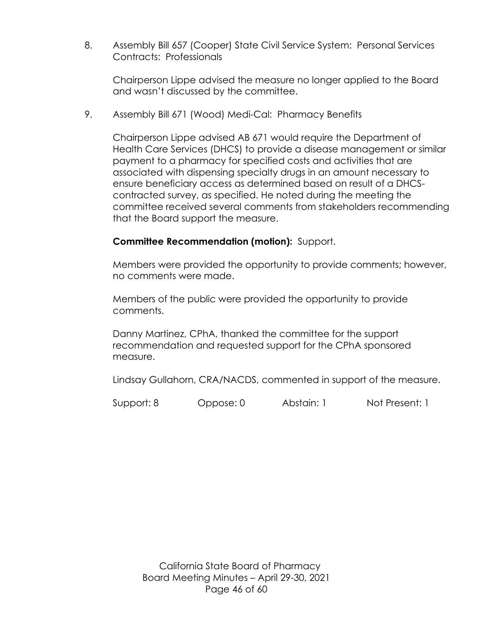8. Assembly Bill 657 (Cooper) State Civil Service System: Personal Services Contracts: Professionals

Chairperson Lippe advised the measure no longer applied to the Board and wasn't discussed by the committee.

9. Assembly Bill 671 (Wood) Medi-Cal: Pharmacy Benefits

Chairperson Lippe advised AB 671 would require the Department of Health Care Services (DHCS) to provide a disease management or similar payment to a pharmacy for specified costs and activities that are associated with dispensing specialty drugs in an amount necessary to ensure beneficiary access as determined based on result of a DHCScontracted survey, as specified. He noted during the meeting the committee received several comments from stakeholders recommending that the Board support the measure.

## **Committee Recommendation (motion):** Support.

Members were provided the opportunity to provide comments; however, no comments were made.

Members of the public were provided the opportunity to provide comments.

Danny Martinez, CPhA, thanked the committee for the support recommendation and requested support for the CPhA sponsored measure.

Lindsay Gullahorn, CRA/NACDS, commented in support of the measure.

Support: 8 Oppose: 0 Abstain: 1 Not Present: 1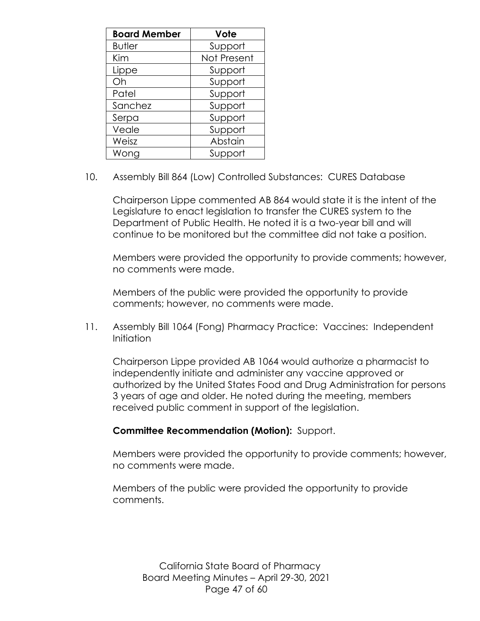| <b>Board Member</b> | Vote        |
|---------------------|-------------|
| <b>Butler</b>       | Support     |
| Kim                 | Not Present |
| Lippe               | Support     |
| Oh                  | Support     |
| Patel               | Support     |
| Sanchez             | Support     |
| Serpa               | Support     |
| Veale               | Support     |
| Weisz               | Abstain     |
| Wong                | Support     |

10. Assembly Bill 864 (Low) Controlled Substances: CURES Database

Chairperson Lippe commented AB 864 would state it is the intent of the Legislature to enact legislation to transfer the CURES system to the Department of Public Health. He noted it is a two-year bill and will continue to be monitored but the committee did not take a position.

Members were provided the opportunity to provide comments; however, no comments were made.

Members of the public were provided the opportunity to provide comments; however, no comments were made.

11. Assembly Bill 1064 (Fong) Pharmacy Practice: Vaccines: Independent Initiation

Chairperson Lippe provided AB 1064 would authorize a pharmacist to independently initiate and administer any vaccine approved or authorized by the United States Food and Drug Administration for persons 3 years of age and older. He noted during the meeting, members received public comment in support of the legislation.

## **Committee Recommendation (Motion):** Support.

Members were provided the opportunity to provide comments; however, no comments were made.

Members of the public were provided the opportunity to provide comments.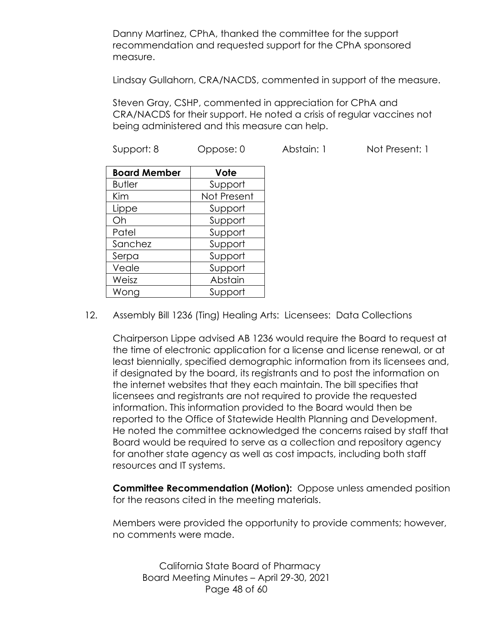Danny Martinez, CPhA, thanked the committee for the support recommendation and requested support for the CPhA sponsored measure.

Lindsay Gullahorn, CRA/NACDS, commented in support of the measure.

Steven Gray, CSHP, commented in appreciation for CPhA and CRA/NACDS for their support. He noted a crisis of regular vaccines not being administered and this measure can help.

Support: 8 Oppose: 0 Abstain: 1 Not Present: 1

| <b>Board Member</b> | Vote        |
|---------------------|-------------|
| <b>Butler</b>       | Support     |
| Kim                 | Not Present |
| Lippe               | Support     |
| Oh                  | Support     |
| Patel               | Support     |
| Sanchez             | Support     |
| Serpa               | Support     |
| Veale               | Support     |
| Weisz               | Abstain     |
| Wong                | Support     |

12. Assembly Bill 1236 (Ting) Healing Arts: Licensees: Data Collections

Chairperson Lippe advised AB 1236 would require the Board to request at the time of electronic application for a license and license renewal, or at least biennially, specified demographic information from its licensees and, if designated by the board, its registrants and to post the information on the internet websites that they each maintain. The bill specifies that licensees and registrants are not required to provide the requested information. This information provided to the Board would then be reported to the Office of Statewide Health Planning and Development. He noted the committee acknowledged the concerns raised by staff that Board would be required to serve as a collection and repository agency for another state agency as well as cost impacts, including both staff resources and IT systems.

**Committee Recommendation (Motion):** Oppose unless amended position for the reasons cited in the meeting materials.

Members were provided the opportunity to provide comments; however, no comments were made.

California State Board of Pharmacy Board Meeting Minutes – April 29-30, 2021 Page 48 of 60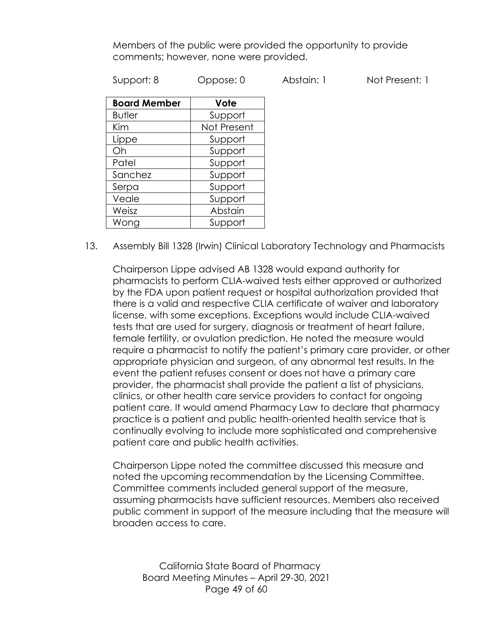Members of the public were provided the opportunity to provide comments; however, none were provided.

Support: 8 Oppose: 0 Abstain: 1 Not Present: 1

| <b>Board Member</b> | Vote        |
|---------------------|-------------|
| <b>Butler</b>       | Support     |
| Kim                 | Not Present |
| Lippe               | Support     |
| Oh                  | Support     |
| Patel               | Support     |
| Sanchez             | Support     |
| Serpa               | Support     |
| Veale               | Support     |
| Weisz               | Abstain     |
| Wong                | Support     |

13. Assembly Bill 1328 (Irwin) Clinical Laboratory Technology and Pharmacists

Chairperson Lippe advised AB 1328 would expand authority for pharmacists to perform CLIA-waived tests either approved or authorized by the FDA upon patient request or hospital authorization provided that there is a valid and respective CLIA certificate of waiver and laboratory license, with some exceptions. Exceptions would include CLIA-waived tests that are used for surgery, diagnosis or treatment of heart failure, female fertility, or ovulation prediction. He noted the measure would require a pharmacist to notify the patient's primary care provider, or other appropriate physician and surgeon, of any abnormal test results. In the event the patient refuses consent or does not have a primary care provider, the pharmacist shall provide the patient a list of physicians, clinics, or other health care service providers to contact for ongoing patient care. It would amend Pharmacy Law to declare that pharmacy practice is a patient and public health-oriented health service that is continually evolving to include more sophisticated and comprehensive patient care and public health activities.

Chairperson Lippe noted the committee discussed this measure and noted the upcoming recommendation by the Licensing Committee. Committee comments included general support of the measure, assuming pharmacists have sufficient resources. Members also received public comment in support of the measure including that the measure will broaden access to care.

California State Board of Pharmacy Board Meeting Minutes – April 29-30, 2021 Page 49 of 60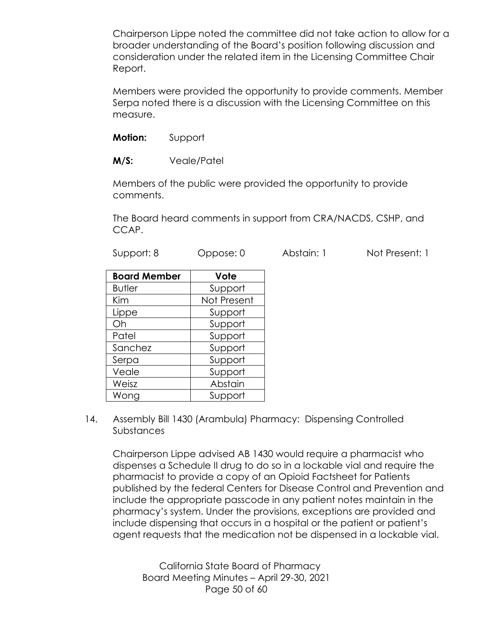Chairperson Lippe noted the committee did not take action to allow for a broader understanding of the Board's position following discussion and consideration under the related item in the Licensing Committee Chair Report.

Members were provided the opportunity to provide comments. Member Serpa noted there is a discussion with the Licensing Committee on this measure.

**Motion:** Support

**M/S:** Veale/Patel

Serpa | Support Veale Support Weisz **Abstain** Wong | Support

Members of the public were provided the opportunity to provide comments.

The Board heard comments in support from CRA/NACDS, CSHP, and CCAP.

| Support: 8          | Oppose: 0   | Abstain: 1 | Not Present: 1 |
|---------------------|-------------|------------|----------------|
| <b>Board Member</b> | Vote        |            |                |
| <b>Butler</b>       | Support     |            |                |
| Kim                 | Not Present |            |                |
| Lippe               | Support     |            |                |
| Oh                  | Support     |            |                |
| Patel               | Support     |            |                |
| Sanchez             | Support     |            |                |

14. Assembly Bill 1430 (Arambula) Pharmacy: Dispensing Controlled Substances

Chairperson Lippe advised AB 1430 would require a pharmacist who dispenses a Schedule II drug to do so in a lockable vial and require the pharmacist to provide a copy of an Opioid Factsheet for Patients published by the federal Centers for Disease Control and Prevention and include the appropriate passcode in any patient notes maintain in the pharmacy's system. Under the provisions, exceptions are provided and include dispensing that occurs in a hospital or the patient or patient's agent requests that the medication not be dispensed in a lockable vial.

California State Board of Pharmacy Board Meeting Minutes – April 29-30, 2021 Page 50 of 60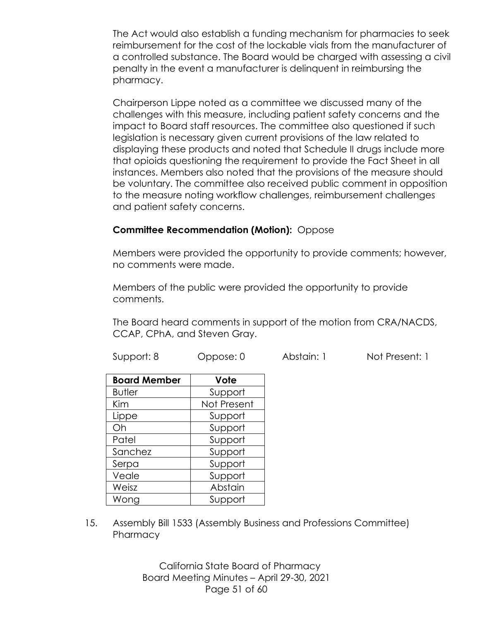The Act would also establish a funding mechanism for pharmacies to seek reimbursement for the cost of the lockable vials from the manufacturer of a controlled substance. The Board would be charged with assessing a civil penalty in the event a manufacturer is delinquent in reimbursing the pharmacy.

Chairperson Lippe noted as a committee we discussed many of the challenges with this measure, including patient safety concerns and the impact to Board staff resources. The committee also questioned if such legislation is necessary given current provisions of the law related to displaying these products and noted that Schedule II drugs include more that opioids questioning the requirement to provide the Fact Sheet in all instances. Members also noted that the provisions of the measure should be voluntary. The committee also received public comment in opposition to the measure noting workflow challenges, reimbursement challenges and patient safety concerns.

## **Committee Recommendation (Motion):** Oppose

Members were provided the opportunity to provide comments; however, no comments were made.

Members of the public were provided the opportunity to provide comments.

The Board heard comments in support of the motion from CRA/NACDS, CCAP, CPhA, and Steven Gray.

Support: 8 Oppose: 0 Abstain: 1 Not Present: 1

| <b>Board Member</b> | Vote        |
|---------------------|-------------|
| <b>Butler</b>       | Support     |
| Kim                 | Not Present |
| Lippe               | Support     |
| Oh                  | Support     |
| Patel               | Support     |
| Sanchez             | Support     |
| Serpa               | Support     |
| Veale               | Support     |
| Weisz               | Abstain     |
| Wong                | Support     |

15. Assembly Bill 1533 (Assembly Business and Professions Committee) **Pharmacy** 

> California State Board of Pharmacy Board Meeting Minutes – April 29-30, 2021 Page 51 of 60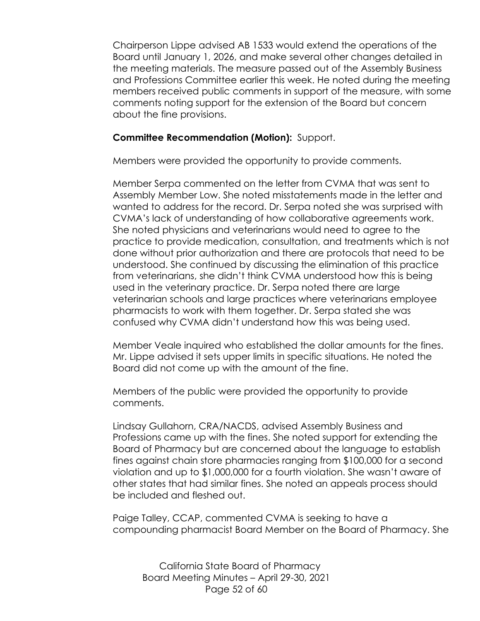Chairperson Lippe advised AB 1533 would extend the operations of the Board until January 1, 2026, and make several other changes detailed in the meeting materials. The measure passed out of the Assembly Business and Professions Committee earlier this week. He noted during the meeting members received public comments in support of the measure, with some comments noting support for the extension of the Board but concern about the fine provisions.

#### **Committee Recommendation (Motion):** Support.

Members were provided the opportunity to provide comments.

Member Serpa commented on the letter from CVMA that was sent to Assembly Member Low. She noted misstatements made in the letter and wanted to address for the record. Dr. Serpa noted she was surprised with CVMA's lack of understanding of how collaborative agreements work. She noted physicians and veterinarians would need to agree to the practice to provide medication, consultation, and treatments which is not done without prior authorization and there are protocols that need to be understood. She continued by discussing the elimination of this practice from veterinarians, she didn't think CVMA understood how this is being used in the veterinary practice. Dr. Serpa noted there are large veterinarian schools and large practices where veterinarians employee pharmacists to work with them together. Dr. Serpa stated she was confused why CVMA didn't understand how this was being used.

Member Veale inquired who established the dollar amounts for the fines. Mr. Lippe advised it sets upper limits in specific situations. He noted the Board did not come up with the amount of the fine.

Members of the public were provided the opportunity to provide comments.

Lindsay Gullahorn, CRA/NACDS, advised Assembly Business and Professions came up with the fines. She noted support for extending the Board of Pharmacy but are concerned about the language to establish fines against chain store pharmacies ranging from \$100,000 for a second violation and up to \$1,000,000 for a fourth violation. She wasn't aware of other states that had similar fines. She noted an appeals process should be included and fleshed out.

Paige Talley, CCAP, commented CVMA is seeking to have a compounding pharmacist Board Member on the Board of Pharmacy. She

California State Board of Pharmacy Board Meeting Minutes – April 29-30, 2021 Page 52 of 60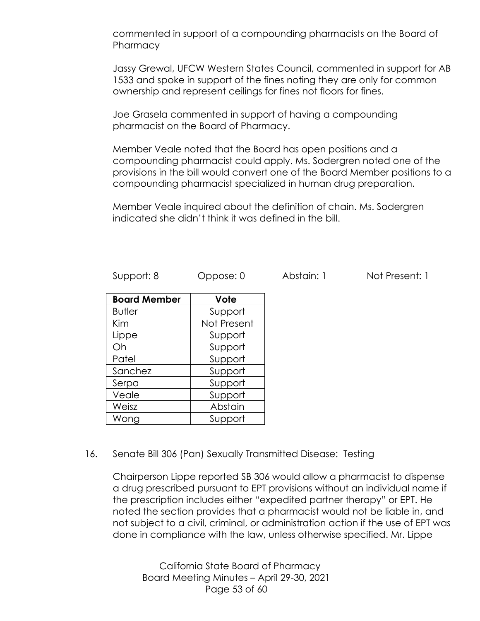commented in support of a compounding pharmacists on the Board of **Pharmacy** 

Jassy Grewal, UFCW Western States Council, commented in support for AB 1533 and spoke in support of the fines noting they are only for common ownership and represent ceilings for fines not floors for fines.

Joe Grasela commented in support of having a compounding pharmacist on the Board of Pharmacy.

Member Veale noted that the Board has open positions and a compounding pharmacist could apply. Ms. Sodergren noted one of the provisions in the bill would convert one of the Board Member positions to a compounding pharmacist specialized in human drug preparation.

Member Veale inquired about the definition of chain. Ms. Sodergren indicated she didn't think it was defined in the bill.

| Support: 8 | Oppose: 0 | Abstain: 1 | Not Present: 1 |
|------------|-----------|------------|----------------|
|            |           |            |                |

| <b>Board Member</b> | Vote        |
|---------------------|-------------|
| <b>Butler</b>       | Support     |
| Kim                 | Not Present |
| Lippe               | Support     |
| Oh                  | Support     |
| Patel               | Support     |
| Sanchez             | Support     |
| Serpa               | Support     |
| Veale               | Support     |
| Weisz               | Abstain     |
| Wong                | Support     |

#### 16. Senate Bill 306 (Pan) Sexually Transmitted Disease: Testing

Chairperson Lippe reported SB 306 would allow a pharmacist to dispense a drug prescribed pursuant to EPT provisions without an individual name if the prescription includes either "expedited partner therapy" or EPT. He noted the section provides that a pharmacist would not be liable in, and not subject to a civil, criminal, or administration action if the use of EPT was done in compliance with the law, unless otherwise specified. Mr. Lippe

California State Board of Pharmacy Board Meeting Minutes – April 29-30, 2021 Page 53 of 60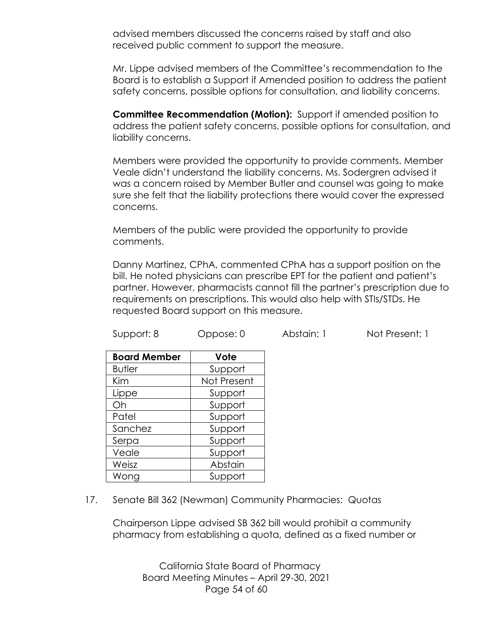advised members discussed the concerns raised by staff and also received public comment to support the measure.

Mr. Lippe advised members of the Committee's recommendation to the Board is to establish a Support if Amended position to address the patient safety concerns, possible options for consultation, and liability concerns.

**Committee Recommendation (Motion):** Support if amended position to address the patient safety concerns, possible options for consultation, and liability concerns.

Members were provided the opportunity to provide comments. Member Veale didn't understand the liability concerns. Ms. Sodergren advised it was a concern raised by Member Butler and counsel was going to make sure she felt that the liability protections there would cover the expressed concerns.

Members of the public were provided the opportunity to provide comments.

Danny Martinez, CPhA, commented CPhA has a support position on the bill. He noted physicians can prescribe EPT for the patient and patient's partner. However, pharmacists cannot fill the partner's prescription due to requirements on prescriptions. This would also help with STIs/STDs. He requested Board support on this measure.

| Support: 8 | Oppose: 0 | Abstain: 1 | Not Present: 1 |
|------------|-----------|------------|----------------|
|            |           |            |                |

| <b>Board Member</b> | Vote        |
|---------------------|-------------|
| <b>Butler</b>       | Support     |
| Kim                 | Not Present |
| Lippe               | Support     |
| Oh                  | Support     |
| Patel               | Support     |
| Sanchez             | Support     |
| Serpa               | Support     |
| Veale               | Support     |
| Weisz               | Abstain     |
| Wong                | Support     |

17. Senate Bill 362 (Newman) Community Pharmacies: Quotas

Chairperson Lippe advised SB 362 bill would prohibit a community pharmacy from establishing a quota, defined as a fixed number or

California State Board of Pharmacy Board Meeting Minutes – April 29-30, 2021 Page 54 of 60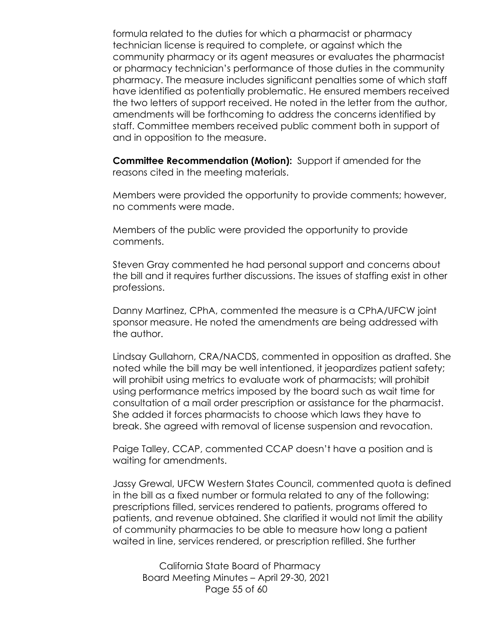formula related to the duties for which a pharmacist or pharmacy technician license is required to complete, or against which the community pharmacy or its agent measures or evaluates the pharmacist or pharmacy technician's performance of those duties in the community pharmacy. The measure includes significant penalties some of which staff have identified as potentially problematic. He ensured members received the two letters of support received. He noted in the letter from the author, amendments will be forthcoming to address the concerns identified by staff. Committee members received public comment both in support of and in opposition to the measure.

**Committee Recommendation (Motion):** Support if amended for the reasons cited in the meeting materials.

Members were provided the opportunity to provide comments; however, no comments were made.

Members of the public were provided the opportunity to provide comments.

Steven Gray commented he had personal support and concerns about the bill and it requires further discussions. The issues of staffing exist in other professions.

Danny Martinez, CPhA, commented the measure is a CPhA/UFCW joint sponsor measure. He noted the amendments are being addressed with the author.

Lindsay Gullahorn, CRA/NACDS, commented in opposition as drafted. She noted while the bill may be well intentioned, it jeopardizes patient safety; will prohibit using metrics to evaluate work of pharmacists; will prohibit using performance metrics imposed by the board such as wait time for consultation of a mail order prescription or assistance for the pharmacist. She added it forces pharmacists to choose which laws they have to break. She agreed with removal of license suspension and revocation.

Paige Talley, CCAP, commented CCAP doesn't have a position and is waiting for amendments.

Jassy Grewal, UFCW Western States Council, commented quota is defined in the bill as a fixed number or formula related to any of the following: prescriptions filled, services rendered to patients, programs offered to patients, and revenue obtained. She clarified it would not limit the ability of community pharmacies to be able to measure how long a patient waited in line, services rendered, or prescription refilled. She further

California State Board of Pharmacy Board Meeting Minutes – April 29-30, 2021 Page 55 of 60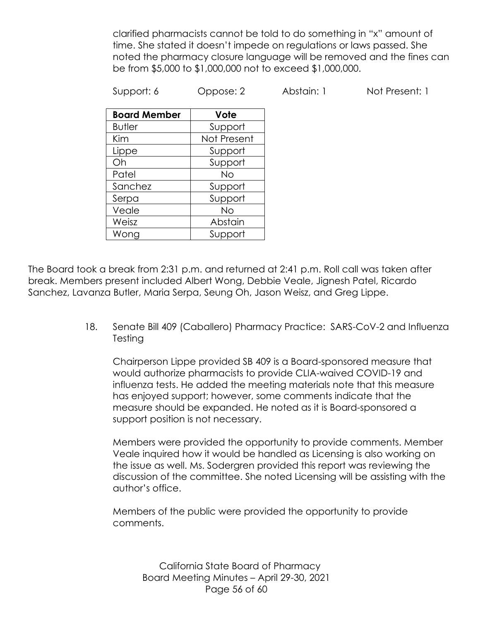clarified pharmacists cannot be told to do something in "x" amount of time. She stated it doesn't impede on regulations or laws passed. She noted the pharmacy closure language will be removed and the fines can be from \$5,000 to \$1,000,000 not to exceed \$1,000,000.

Support: 6 Oppose: 2 Abstain: 1 Not Present: 1

| <b>Board Member</b> | Vote        |
|---------------------|-------------|
| <b>Butler</b>       | Support     |
| Kim                 | Not Present |
| Lippe               | Support     |
| Oh                  | Support     |
| Patel               | Νo          |
| Sanchez             | Support     |
| Serpa               | Support     |
| Veale               | No          |
| Weisz               | Abstain     |
| Wong                | Support     |

The Board took a break from 2:31 p.m. and returned at 2:41 p.m. Roll call was taken after break. Members present included Albert Wong, Debbie Veale, Jignesh Patel, Ricardo Sanchez, Lavanza Butler, Maria Serpa, Seung Oh, Jason Weisz, and Greg Lippe.

> 18. Senate Bill 409 (Caballero) Pharmacy Practice: SARS-CoV-2 and Influenza Testing

Chairperson Lippe provided SB 409 is a Board-sponsored measure that would authorize pharmacists to provide CLIA-waived COVID-19 and influenza tests. He added the meeting materials note that this measure has enjoyed support; however, some comments indicate that the measure should be expanded. He noted as it is Board-sponsored a support position is not necessary.

Members were provided the opportunity to provide comments. Member Veale inquired how it would be handled as Licensing is also working on the issue as well. Ms. Sodergren provided this report was reviewing the discussion of the committee. She noted Licensing will be assisting with the author's office.

Members of the public were provided the opportunity to provide comments.

California State Board of Pharmacy Board Meeting Minutes – April 29-30, 2021 Page 56 of 60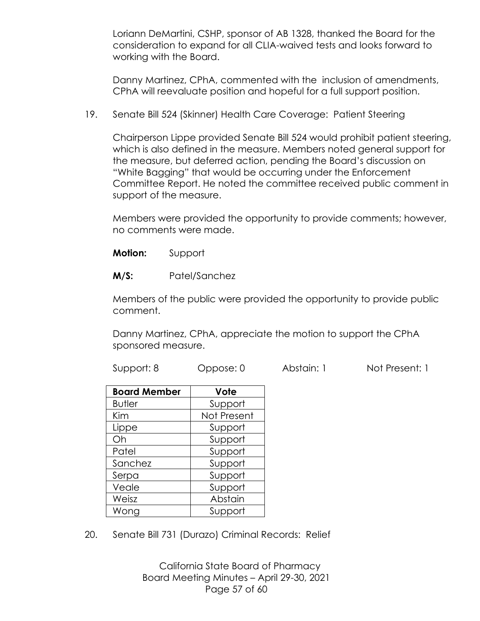Loriann DeMartini, CSHP, sponsor of AB 1328, thanked the Board for the consideration to expand for all CLIA-waived tests and looks forward to working with the Board.

Danny Martinez, CPhA, commented with the inclusion of amendments, CPhA will reevaluate position and hopeful for a full support position.

19. Senate Bill 524 (Skinner) Health Care Coverage: Patient Steering

Chairperson Lippe provided Senate Bill 524 would prohibit patient steering, which is also defined in the measure. Members noted general support for the measure, but deferred action, pending the Board's discussion on "White Bagging" that would be occurring under the Enforcement Committee Report. He noted the committee received public comment in support of the measure.

Members were provided the opportunity to provide comments; however, no comments were made.

**Motion:** Support

**M/S:** Patel/Sanchez

Members of the public were provided the opportunity to provide public comment.

Danny Martinez, CPhA, appreciate the motion to support the CPhA sponsored measure.

Support: 8 Oppose: 0 Abstain: 1 Not Present: 1

| <b>Board Member</b> | Vote        |
|---------------------|-------------|
| <b>Butler</b>       | Support     |
| Kim                 | Not Present |
| Lippe               | Support     |
| Oh                  | Support     |
| Patel               | Support     |
| Sanchez             | Support     |
| Serpa               | Support     |
| Veale               | Support     |
| Weisz               | Abstain     |
| Wong                | Support     |

20. Senate Bill 731 (Durazo) Criminal Records: Relief

California State Board of Pharmacy Board Meeting Minutes – April 29-30, 2021 Page 57 of 60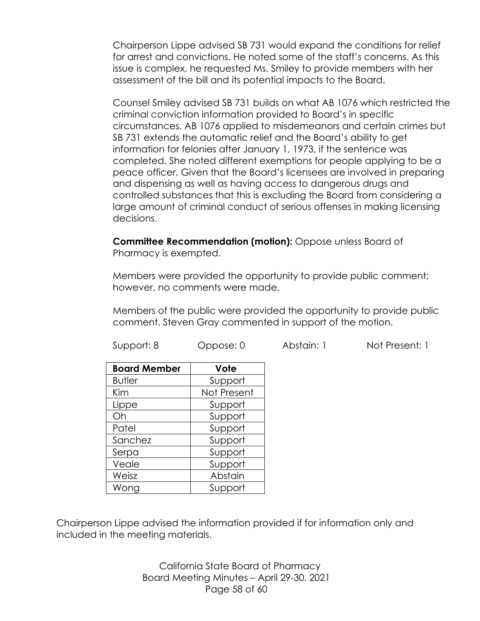Chairperson Lippe advised SB 731 would expand the conditions for relief for arrest and convictions. He noted some of the staff's concerns. As this issue is complex, he requested Ms. Smiley to provide members with her assessment of the bill and its potential impacts to the Board.

Counsel Smiley advised SB 731 builds on what AB 1076 which restricted the criminal conviction information provided to Board's in specific circumstances. AB 1076 applied to misdemeanors and certain crimes but SB 731 extends the automatic relief and the Board's ability to get information for felonies after January 1, 1973, if the sentence was completed. She noted different exemptions for people applying to be a peace officer. Given that the Board's licensees are involved in preparing and dispensing as well as having access to dangerous drugs and controlled substances that this is excluding the Board from considering a large amount of criminal conduct of serious offenses in making licensing decisions.

**Committee Recommendation (motion):** Oppose unless Board of Pharmacy is exempted.

Members were provided the opportunity to provide public comment; however, no comments were made.

Members of the public were provided the opportunity to provide public comment. Steven Gray commented in support of the motion.

| <b>Board Member</b> | Vote        |
|---------------------|-------------|
| <b>Butler</b>       | Support     |
| Kim                 | Not Present |
| Lippe               | Support     |
| Oh                  | Support     |
| Patel               | Support     |
| Sanchez             | Support     |
| Serpa               | Support     |
| Veale               | Support     |
| Weisz               | Abstain     |
| Wong                | Support     |

Chairperson Lippe advised the information provided if for information only and included in the meeting materials.

> California State Board of Pharmacy Board Meeting Minutes – April 29-30, 2021 Page 58 of 60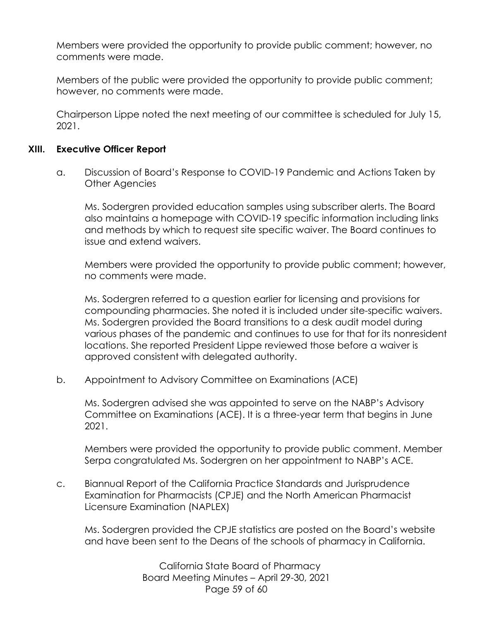Members were provided the opportunity to provide public comment; however, no comments were made.

Members of the public were provided the opportunity to provide public comment; however, no comments were made.

Chairperson Lippe noted the next meeting of our committee is scheduled for July 15, 2021.

#### **XIII. Executive Officer Report**

a. Discussion of Board's Response to COVID-19 Pandemic and Actions Taken by Other Agencies

Ms. Sodergren provided education samples using subscriber alerts. The Board also maintains a homepage with COVID-19 specific information including links and methods by which to request site specific waiver. The Board continues to issue and extend waivers.

Members were provided the opportunity to provide public comment; however, no comments were made.

Ms. Sodergren referred to a question earlier for licensing and provisions for compounding pharmacies. She noted it is included under site-specific waivers. Ms. Sodergren provided the Board transitions to a desk audit model during various phases of the pandemic and continues to use for that for its nonresident locations. She reported President Lippe reviewed those before a waiver is approved consistent with delegated authority.

b. Appointment to Advisory Committee on Examinations (ACE)

Ms. Sodergren advised she was appointed to serve on the NABP's Advisory Committee on Examinations (ACE). It is a three-year term that begins in June 2021.

Members were provided the opportunity to provide public comment. Member Serpa congratulated Ms. Sodergren on her appointment to NABP's ACE.

c. Biannual Report of the California Practice Standards and Jurisprudence Examination for Pharmacists (CPJE) and the North American Pharmacist Licensure Examination (NAPLEX)

Ms. Sodergren provided the CPJE statistics are posted on the Board's website and have been sent to the Deans of the schools of pharmacy in California.

> California State Board of Pharmacy Board Meeting Minutes – April 29-30, 2021 Page 59 of 60